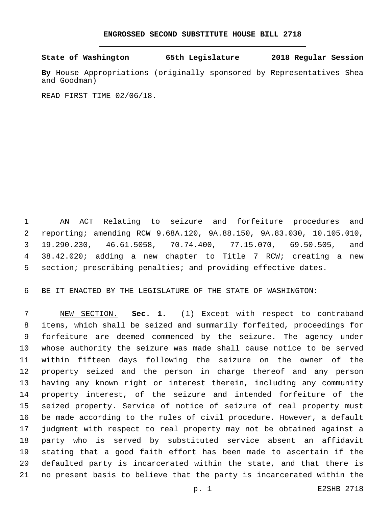## **ENGROSSED SECOND SUBSTITUTE HOUSE BILL 2718**

**State of Washington 65th Legislature 2018 Regular Session**

**By** House Appropriations (originally sponsored by Representatives Shea and Goodman)

READ FIRST TIME 02/06/18.

 AN ACT Relating to seizure and forfeiture procedures and reporting; amending RCW 9.68A.120, 9A.88.150, 9A.83.030, 10.105.010, 19.290.230, 46.61.5058, 70.74.400, 77.15.070, 69.50.505, and 38.42.020; adding a new chapter to Title 7 RCW; creating a new section; prescribing penalties; and providing effective dates.

BE IT ENACTED BY THE LEGISLATURE OF THE STATE OF WASHINGTON:

 NEW SECTION. **Sec. 1.** (1) Except with respect to contraband items, which shall be seized and summarily forfeited, proceedings for forfeiture are deemed commenced by the seizure. The agency under whose authority the seizure was made shall cause notice to be served within fifteen days following the seizure on the owner of the property seized and the person in charge thereof and any person having any known right or interest therein, including any community property interest, of the seizure and intended forfeiture of the seized property. Service of notice of seizure of real property must be made according to the rules of civil procedure. However, a default judgment with respect to real property may not be obtained against a party who is served by substituted service absent an affidavit stating that a good faith effort has been made to ascertain if the defaulted party is incarcerated within the state, and that there is no present basis to believe that the party is incarcerated within the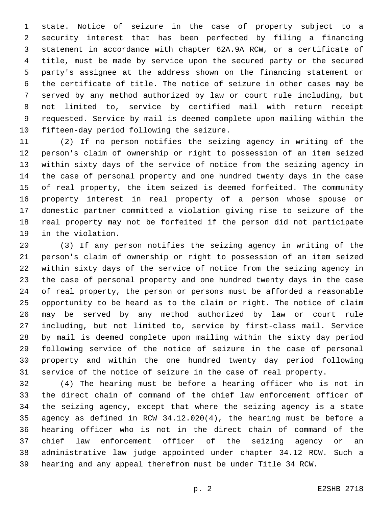state. Notice of seizure in the case of property subject to a security interest that has been perfected by filing a financing statement in accordance with chapter 62A.9A RCW, or a certificate of title, must be made by service upon the secured party or the secured party's assignee at the address shown on the financing statement or the certificate of title. The notice of seizure in other cases may be served by any method authorized by law or court rule including, but not limited to, service by certified mail with return receipt requested. Service by mail is deemed complete upon mailing within the 10 fifteen-day period following the seizure.

 (2) If no person notifies the seizing agency in writing of the person's claim of ownership or right to possession of an item seized within sixty days of the service of notice from the seizing agency in the case of personal property and one hundred twenty days in the case of real property, the item seized is deemed forfeited. The community property interest in real property of a person whose spouse or domestic partner committed a violation giving rise to seizure of the real property may not be forfeited if the person did not participate 19 in the violation.

 (3) If any person notifies the seizing agency in writing of the person's claim of ownership or right to possession of an item seized within sixty days of the service of notice from the seizing agency in the case of personal property and one hundred twenty days in the case of real property, the person or persons must be afforded a reasonable opportunity to be heard as to the claim or right. The notice of claim may be served by any method authorized by law or court rule including, but not limited to, service by first-class mail. Service by mail is deemed complete upon mailing within the sixty day period following service of the notice of seizure in the case of personal property and within the one hundred twenty day period following service of the notice of seizure in the case of real property.

 (4) The hearing must be before a hearing officer who is not in the direct chain of command of the chief law enforcement officer of the seizing agency, except that where the seizing agency is a state agency as defined in RCW 34.12.020(4), the hearing must be before a hearing officer who is not in the direct chain of command of the chief law enforcement officer of the seizing agency or an administrative law judge appointed under chapter 34.12 RCW. Such a hearing and any appeal therefrom must be under Title 34 RCW.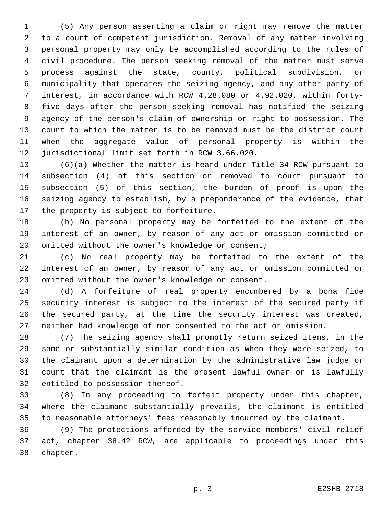(5) Any person asserting a claim or right may remove the matter to a court of competent jurisdiction. Removal of any matter involving personal property may only be accomplished according to the rules of civil procedure. The person seeking removal of the matter must serve process against the state, county, political subdivision, or municipality that operates the seizing agency, and any other party of interest, in accordance with RCW 4.28.080 or 4.92.020, within forty- five days after the person seeking removal has notified the seizing agency of the person's claim of ownership or right to possession. The court to which the matter is to be removed must be the district court when the aggregate value of personal property is within the 12 jurisdictional limit set forth in RCW 3.66.020.

 (6)(a) Whether the matter is heard under Title 34 RCW pursuant to subsection (4) of this section or removed to court pursuant to subsection (5) of this section, the burden of proof is upon the seizing agency to establish, by a preponderance of the evidence, that 17 the property is subject to forfeiture.

 (b) No personal property may be forfeited to the extent of the interest of an owner, by reason of any act or omission committed or 20 omitted without the owner's knowledge or consent;

 (c) No real property may be forfeited to the extent of the interest of an owner, by reason of any act or omission committed or 23 omitted without the owner's knowledge or consent.

 (d) A forfeiture of real property encumbered by a bona fide security interest is subject to the interest of the secured party if the secured party, at the time the security interest was created, neither had knowledge of nor consented to the act or omission.

 (7) The seizing agency shall promptly return seized items, in the same or substantially similar condition as when they were seized, to the claimant upon a determination by the administrative law judge or court that the claimant is the present lawful owner or is lawfully 32 entitled to possession thereof.

 (8) In any proceeding to forfeit property under this chapter, where the claimant substantially prevails, the claimant is entitled to reasonable attorneys' fees reasonably incurred by the claimant.

 (9) The protections afforded by the service members' civil relief act, chapter 38.42 RCW, are applicable to proceedings under this 38 chapter.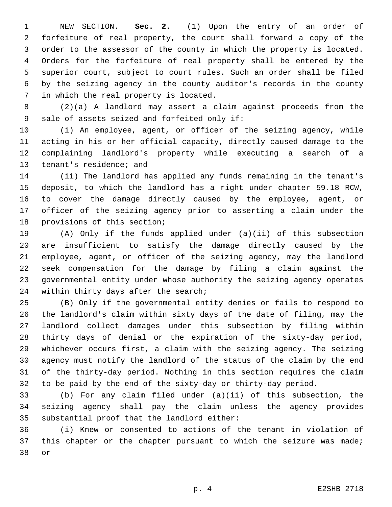NEW SECTION. **Sec. 2.** (1) Upon the entry of an order of forfeiture of real property, the court shall forward a copy of the order to the assessor of the county in which the property is located. Orders for the forfeiture of real property shall be entered by the superior court, subject to court rules. Such an order shall be filed by the seizing agency in the county auditor's records in the county in which the real property is located.

 (2)(a) A landlord may assert a claim against proceeds from the 9 sale of assets seized and forfeited only if:

 (i) An employee, agent, or officer of the seizing agency, while acting in his or her official capacity, directly caused damage to the complaining landlord's property while executing a search of a 13 tenant's residence; and

 (ii) The landlord has applied any funds remaining in the tenant's deposit, to which the landlord has a right under chapter 59.18 RCW, to cover the damage directly caused by the employee, agent, or officer of the seizing agency prior to asserting a claim under the 18 provisions of this section;

 (A) Only if the funds applied under (a)(ii) of this subsection are insufficient to satisfy the damage directly caused by the employee, agent, or officer of the seizing agency, may the landlord seek compensation for the damage by filing a claim against the governmental entity under whose authority the seizing agency operates 24 within thirty days after the search;

 (B) Only if the governmental entity denies or fails to respond to the landlord's claim within sixty days of the date of filing, may the landlord collect damages under this subsection by filing within thirty days of denial or the expiration of the sixty-day period, whichever occurs first, a claim with the seizing agency. The seizing agency must notify the landlord of the status of the claim by the end of the thirty-day period. Nothing in this section requires the claim to be paid by the end of the sixty-day or thirty-day period.

 (b) For any claim filed under (a)(ii) of this subsection, the seizing agency shall pay the claim unless the agency provides 35 substantial proof that the landlord either:

 (i) Knew or consented to actions of the tenant in violation of 37 this chapter or the chapter pursuant to which the seizure was made; 38 or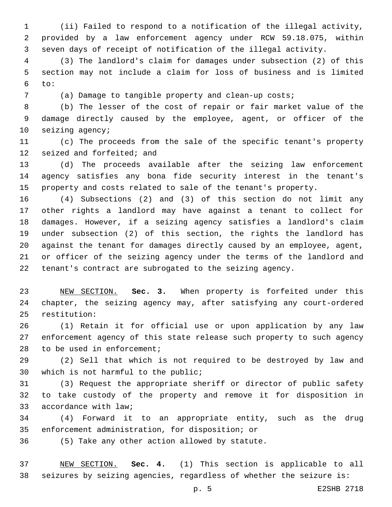(ii) Failed to respond to a notification of the illegal activity, provided by a law enforcement agency under RCW 59.18.075, within seven days of receipt of notification of the illegal activity.

 (3) The landlord's claim for damages under subsection (2) of this section may not include a claim for loss of business and is limited to:

(a) Damage to tangible property and clean-up costs;

 (b) The lesser of the cost of repair or fair market value of the damage directly caused by the employee, agent, or officer of the 10 seizing agency;

 (c) The proceeds from the sale of the specific tenant's property 12 seized and forfeited; and

 (d) The proceeds available after the seizing law enforcement agency satisfies any bona fide security interest in the tenant's property and costs related to sale of the tenant's property.

 (4) Subsections (2) and (3) of this section do not limit any other rights a landlord may have against a tenant to collect for damages. However, if a seizing agency satisfies a landlord's claim under subsection (2) of this section, the rights the landlord has against the tenant for damages directly caused by an employee, agent, or officer of the seizing agency under the terms of the landlord and tenant's contract are subrogated to the seizing agency.

 NEW SECTION. **Sec. 3.** When property is forfeited under this chapter, the seizing agency may, after satisfying any court-ordered restitution:

 (1) Retain it for official use or upon application by any law enforcement agency of this state release such property to such agency 28 to be used in enforcement;

 (2) Sell that which is not required to be destroyed by law and 30 which is not harmful to the public;

 (3) Request the appropriate sheriff or director of public safety to take custody of the property and remove it for disposition in 33 accordance with law;

 (4) Forward it to an appropriate entity, such as the drug 35 enforcement administration, for disposition; or

(5) Take any other action allowed by statute.36

 NEW SECTION. **Sec. 4.** (1) This section is applicable to all seizures by seizing agencies, regardless of whether the seizure is: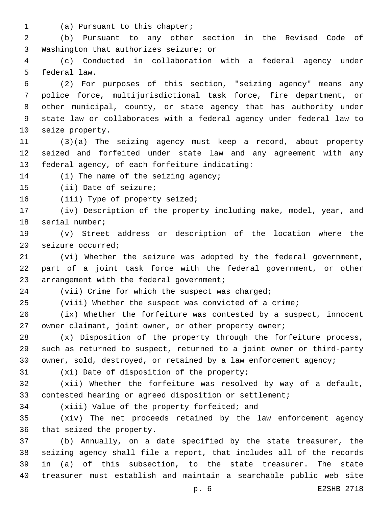1 (a) Pursuant to this chapter;

 (b) Pursuant to any other section in the Revised Code of 3 Washington that authorizes seizure; or

 (c) Conducted in collaboration with a federal agency under 5 federal law.

 (2) For purposes of this section, "seizing agency" means any police force, multijurisdictional task force, fire department, or other municipal, county, or state agency that has authority under state law or collaborates with a federal agency under federal law to 10 seize property.

 (3)(a) The seizing agency must keep a record, about property seized and forfeited under state law and any agreement with any 13 federal agency, of each forfeiture indicating:

14 (i) The name of the seizing agency;

15 (ii) Date of seizure;

16 (iii) Type of property seized;

 (iv) Description of the property including make, model, year, and 18 serial number;

 (v) Street address or description of the location where the 20 seizure occurred;

 (vi) Whether the seizure was adopted by the federal government, part of a joint task force with the federal government, or other 23 arrangement with the federal government;

(vii) Crime for which the suspect was charged;

(viii) Whether the suspect was convicted of a crime;

 (ix) Whether the forfeiture was contested by a suspect, innocent owner claimant, joint owner, or other property owner;

 (x) Disposition of the property through the forfeiture process, such as returned to suspect, returned to a joint owner or third-party owner, sold, destroyed, or retained by a law enforcement agency;

31 (xi) Date of disposition of the property;

 (xii) Whether the forfeiture was resolved by way of a default, contested hearing or agreed disposition or settlement;

34 (xiii) Value of the property forfeited; and

 (xiv) The net proceeds retained by the law enforcement agency 36 that seized the property.

 (b) Annually, on a date specified by the state treasurer, the seizing agency shall file a report, that includes all of the records in (a) of this subsection, to the state treasurer. The state treasurer must establish and maintain a searchable public web site

p. 6 E2SHB 2718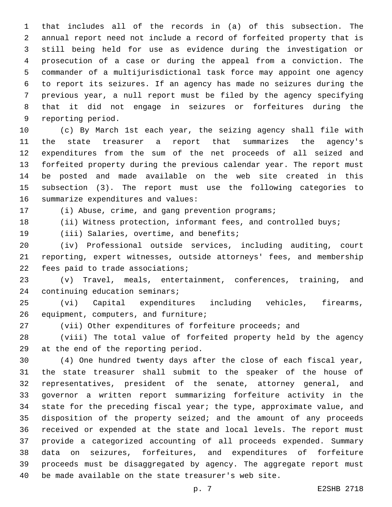that includes all of the records in (a) of this subsection. The annual report need not include a record of forfeited property that is still being held for use as evidence during the investigation or prosecution of a case or during the appeal from a conviction. The commander of a multijurisdictional task force may appoint one agency to report its seizures. If an agency has made no seizures during the previous year, a null report must be filed by the agency specifying that it did not engage in seizures or forfeitures during the 9 reporting period.

 (c) By March 1st each year, the seizing agency shall file with the state treasurer a report that summarizes the agency's expenditures from the sum of the net proceeds of all seized and forfeited property during the previous calendar year. The report must be posted and made available on the web site created in this subsection (3). The report must use the following categories to 16 summarize expenditures and values:

17 (i) Abuse, crime, and gang prevention programs; 18 (ii) Witness protection, informant fees, and controlled buys;

19 (iii) Salaries, overtime, and benefits;

 (iv) Professional outside services, including auditing, court reporting, expert witnesses, outside attorneys' fees, and membership 22 fees paid to trade associations;

 (v) Travel, meals, entertainment, conferences, training, and 24 continuing education seminars;

 (vi) Capital expenditures including vehicles, firearms, 26 equipment, computers, and furniture;

(vii) Other expenditures of forfeiture proceeds; and

 (viii) The total value of forfeited property held by the agency 29 at the end of the reporting period.

 (4) One hundred twenty days after the close of each fiscal year, the state treasurer shall submit to the speaker of the house of representatives, president of the senate, attorney general, and governor a written report summarizing forfeiture activity in the state for the preceding fiscal year; the type, approximate value, and disposition of the property seized; and the amount of any proceeds received or expended at the state and local levels. The report must provide a categorized accounting of all proceeds expended. Summary data on seizures, forfeitures, and expenditures of forfeiture proceeds must be disaggregated by agency. The aggregate report must be made available on the state treasurer's web site.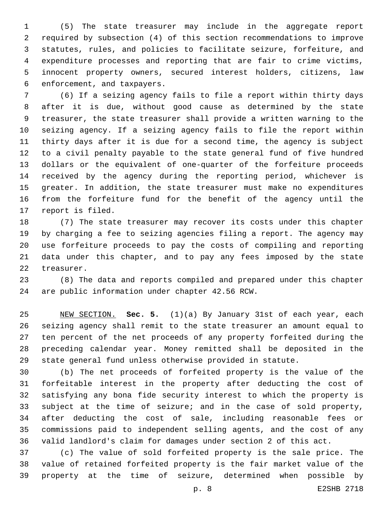(5) The state treasurer may include in the aggregate report required by subsection (4) of this section recommendations to improve statutes, rules, and policies to facilitate seizure, forfeiture, and expenditure processes and reporting that are fair to crime victims, innocent property owners, secured interest holders, citizens, law 6 enforcement, and taxpayers.

 (6) If a seizing agency fails to file a report within thirty days after it is due, without good cause as determined by the state treasurer, the state treasurer shall provide a written warning to the seizing agency. If a seizing agency fails to file the report within thirty days after it is due for a second time, the agency is subject to a civil penalty payable to the state general fund of five hundred dollars or the equivalent of one-quarter of the forfeiture proceeds received by the agency during the reporting period, whichever is greater. In addition, the state treasurer must make no expenditures from the forfeiture fund for the benefit of the agency until the 17 report is filed.

 (7) The state treasurer may recover its costs under this chapter by charging a fee to seizing agencies filing a report. The agency may use forfeiture proceeds to pay the costs of compiling and reporting data under this chapter, and to pay any fees imposed by the state 22 treasurer.

 (8) The data and reports compiled and prepared under this chapter 24 are public information under chapter 42.56 RCW.

 NEW SECTION. **Sec. 5.** (1)(a) By January 31st of each year, each seizing agency shall remit to the state treasurer an amount equal to ten percent of the net proceeds of any property forfeited during the preceding calendar year. Money remitted shall be deposited in the state general fund unless otherwise provided in statute.

 (b) The net proceeds of forfeited property is the value of the forfeitable interest in the property after deducting the cost of satisfying any bona fide security interest to which the property is subject at the time of seizure; and in the case of sold property, after deducting the cost of sale, including reasonable fees or commissions paid to independent selling agents, and the cost of any valid landlord's claim for damages under section 2 of this act.

 (c) The value of sold forfeited property is the sale price. The value of retained forfeited property is the fair market value of the property at the time of seizure, determined when possible by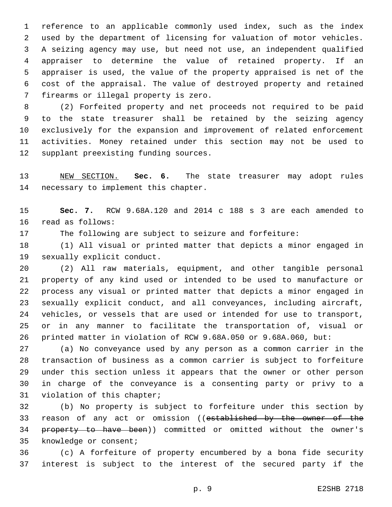reference to an applicable commonly used index, such as the index used by the department of licensing for valuation of motor vehicles. A seizing agency may use, but need not use, an independent qualified appraiser to determine the value of retained property. If an appraiser is used, the value of the property appraised is net of the cost of the appraisal. The value of destroyed property and retained 7 firearms or illegal property is zero.

 (2) Forfeited property and net proceeds not required to be paid to the state treasurer shall be retained by the seizing agency exclusively for the expansion and improvement of related enforcement activities. Money retained under this section may not be used to 12 supplant preexisting funding sources.

 NEW SECTION. **Sec. 6.** The state treasurer may adopt rules necessary to implement this chapter.

 **Sec. 7.** RCW 9.68A.120 and 2014 c 188 s 3 are each amended to 16 read as follows:

The following are subject to seizure and forfeiture:

 (1) All visual or printed matter that depicts a minor engaged in 19 sexually explicit conduct.

 (2) All raw materials, equipment, and other tangible personal property of any kind used or intended to be used to manufacture or process any visual or printed matter that depicts a minor engaged in sexually explicit conduct, and all conveyances, including aircraft, vehicles, or vessels that are used or intended for use to transport, or in any manner to facilitate the transportation of, visual or printed matter in violation of RCW 9.68A.050 or 9.68A.060, but:

 (a) No conveyance used by any person as a common carrier in the transaction of business as a common carrier is subject to forfeiture under this section unless it appears that the owner or other person in charge of the conveyance is a consenting party or privy to a 31 violation of this chapter;

 (b) No property is subject to forfeiture under this section by 33 reason of any act or omission ((established by the owner of the 34 property to have been)) committed or omitted without the owner's 35 knowledge or consent;

 (c) A forfeiture of property encumbered by a bona fide security interest is subject to the interest of the secured party if the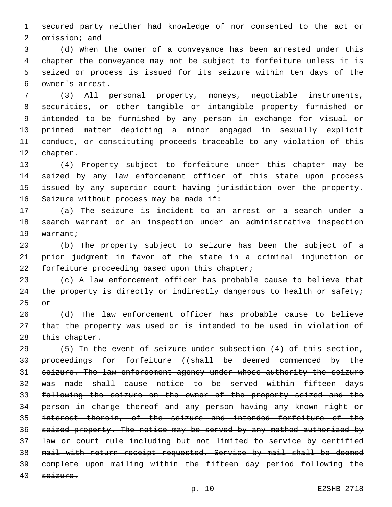secured party neither had knowledge of nor consented to the act or 2 omission; and

 (d) When the owner of a conveyance has been arrested under this chapter the conveyance may not be subject to forfeiture unless it is seized or process is issued for its seizure within ten days of the owner's arrest.6

 (3) All personal property, moneys, negotiable instruments, securities, or other tangible or intangible property furnished or intended to be furnished by any person in exchange for visual or printed matter depicting a minor engaged in sexually explicit conduct, or constituting proceeds traceable to any violation of this 12 chapter.

 (4) Property subject to forfeiture under this chapter may be seized by any law enforcement officer of this state upon process issued by any superior court having jurisdiction over the property. 16 Seizure without process may be made if:

 (a) The seizure is incident to an arrest or a search under a search warrant or an inspection under an administrative inspection 19 warrant;

 (b) The property subject to seizure has been the subject of a prior judgment in favor of the state in a criminal injunction or 22 forfeiture proceeding based upon this chapter;

 (c) A law enforcement officer has probable cause to believe that 24 the property is directly or indirectly dangerous to health or safety; 25 or

 (d) The law enforcement officer has probable cause to believe that the property was used or is intended to be used in violation of 28 this chapter.

 (5) In the event of seizure under subsection (4) of this section, 30 proceedings for forfeiture ((shall be deemed commenced by the seizure. The law enforcement agency under whose authority the seizure was made shall cause notice to be served within fifteen days following the seizure on the owner of the property seized and the person in charge thereof and any person having any known right or interest therein, of the seizure and intended forfeiture of the seized property. The notice may be served by any method authorized by law or court rule including but not limited to service by certified mail with return receipt requested. Service by mail shall be deemed complete upon mailing within the fifteen day period following the seizure.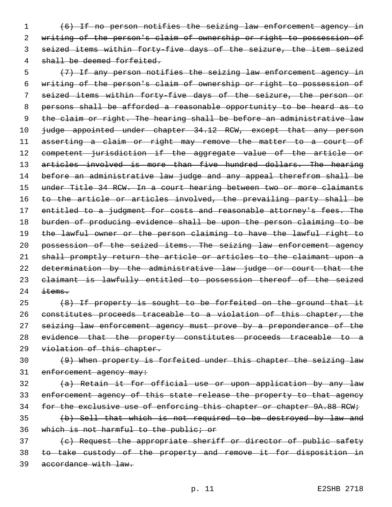(6) If no person notifies the seizing law enforcement agency in writing of the person's claim of ownership or right to possession of seized items within forty-five days of the seizure, the item seized 4 shall be deemed forfeited.

 (7) If any person notifies the seizing law enforcement agency in writing of the person's claim of ownership or right to possession of seized items within forty-five days of the seizure, the person or persons shall be afforded a reasonable opportunity to be heard as to 9 the claim or right. The hearing shall be before an administrative law 10 judge appointed under chapter 34.12 RCW, except that any person 11 asserting a claim or right may remove the matter to a court of competent jurisdiction if the aggregate value of the article or 13 articles involved is more than five hundred dollars. The hearing before an administrative law judge and any appeal therefrom shall be under Title 34 RCW. In a court hearing between two or more claimants 16 to the article or articles involved, the prevailing party shall be 17 entitled to a judgment for costs and reasonable attorney's fees. The burden of producing evidence shall be upon the person claiming to be 19 the lawful owner or the person claiming to have the lawful right to possession of the seized items. The seizing law enforcement agency shall promptly return the article or articles to the claimant upon a determination by the administrative law judge or court that the claimant is lawfully entitled to possession thereof of the seized  $\frac{1}{2}$ 

 (8) If property is sought to be forfeited on the ground that it constitutes proceeds traceable to a violation of this chapter, the 27 seizing law enforcement agency must prove by a preponderance of the evidence that the property constitutes proceeds traceable to a 29 violation of this chapter.

 (9) When property is forfeited under this chapter the seizing law 31 enforcement agency may:

 (a) Retain it for official use or upon application by any law enforcement agency of this state release the property to that agency 34 for the exclusive use of enforcing this chapter or chapter 9A.88 RCW;

 (b) Sell that which is not required to be destroyed by law and which is not harmful to the public; or

37 (c) Request the appropriate sheriff or director of public safety to take custody of the property and remove it for disposition in accordance with law.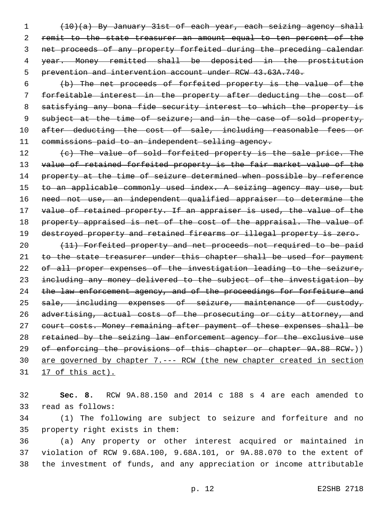(10)(a) By January 31st of each year, each seizing agency shall 2 remit to the state treasurer an amount equal to ten percent of the net proceeds of any property forfeited during the preceding calendar year. Money remitted shall be deposited in the prostitution prevention and intervention account under RCW 43.63A.740.

6 (b) The net proceeds of forfeited property is the value of the 7 forfeitable interest in the property after deducting the cost of 8 satisfying any bona fide security interest to which the property is 9 subject at the time of seizure; and in the case of sold property, 10 after deducting the cost of sale, including reasonable fees or 11 commissions paid to an independent selling agency.

12 (c) The value of sold forfeited property is the sale price. The 13 value of retained forfeited property is the fair market value of the 14 property at the time of seizure determined when possible by reference 15 to an applicable commonly used index. A seizing agency may use, but 16 need not use, an independent qualified appraiser to determine the 17 value of retained property. If an appraiser is used, the value of the 18 property appraised is net of the cost of the appraisal. The value of 19 destroyed property and retained firearms or illegal property is zero.

20 (11) Forfeited property and net proceeds not required to be paid 21 to the state treasurer under this chapter shall be used for payment 22 of all proper expenses of the investigation leading to the seizure, 23 including any money delivered to the subject of the investigation by 24 the law enforcement agency, and of the proceedings for forfeiture and 25 sale, including expenses of seizure, maintenance of custody, 26 advertising, actual costs of the prosecuting or city attorney, and 27 court costs. Money remaining after payment of these expenses shall be 28 retained by the seizing law enforcement agency for the exclusive use 29 of enforcing the provisions of this chapter or chapter 9A.88 RCW.)) 30 are governed by chapter 7.--- RCW (the new chapter created in section 31 17 of this act).

32 **Sec. 8.** RCW 9A.88.150 and 2014 c 188 s 4 are each amended to 33 read as follows:

34 (1) The following are subject to seizure and forfeiture and no 35 property right exists in them:

36 (a) Any property or other interest acquired or maintained in 37 violation of RCW 9.68A.100, 9.68A.101, or 9A.88.070 to the extent of 38 the investment of funds, and any appreciation or income attributable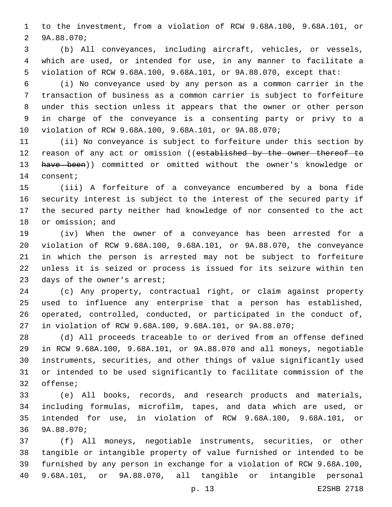to the investment, from a violation of RCW 9.68A.100, 9.68A.101, or 2 9A.88.070;

 (b) All conveyances, including aircraft, vehicles, or vessels, which are used, or intended for use, in any manner to facilitate a violation of RCW 9.68A.100, 9.68A.101, or 9A.88.070, except that:

 (i) No conveyance used by any person as a common carrier in the transaction of business as a common carrier is subject to forfeiture under this section unless it appears that the owner or other person in charge of the conveyance is a consenting party or privy to a violation of RCW 9.68A.100, 9.68A.101, or 9A.88.070;

 (ii) No conveyance is subject to forfeiture under this section by 12 reason of any act or omission ((established by the owner thereof to 13 have been)) committed or omitted without the owner's knowledge or 14 consent;

 (iii) A forfeiture of a conveyance encumbered by a bona fide security interest is subject to the interest of the secured party if the secured party neither had knowledge of nor consented to the act 18 or omission; and

 (iv) When the owner of a conveyance has been arrested for a violation of RCW 9.68A.100, 9.68A.101, or 9A.88.070, the conveyance in which the person is arrested may not be subject to forfeiture unless it is seized or process is issued for its seizure within ten 23 days of the owner's arrest;

 (c) Any property, contractual right, or claim against property used to influence any enterprise that a person has established, operated, controlled, conducted, or participated in the conduct of, in violation of RCW 9.68A.100, 9.68A.101, or 9A.88.070;

 (d) All proceeds traceable to or derived from an offense defined in RCW 9.68A.100, 9.68A.101, or 9A.88.070 and all moneys, negotiable instruments, securities, and other things of value significantly used or intended to be used significantly to facilitate commission of the 32 offense;

 (e) All books, records, and research products and materials, including formulas, microfilm, tapes, and data which are used, or intended for use, in violation of RCW 9.68A.100, 9.68A.101, or 36 9A.88.070;

 (f) All moneys, negotiable instruments, securities, or other tangible or intangible property of value furnished or intended to be furnished by any person in exchange for a violation of RCW 9.68A.100, 9.68A.101, or 9A.88.070, all tangible or intangible personal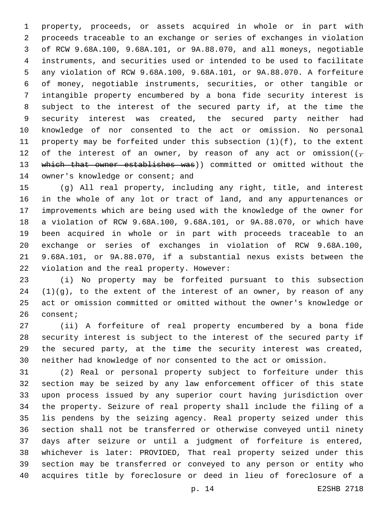property, proceeds, or assets acquired in whole or in part with proceeds traceable to an exchange or series of exchanges in violation of RCW 9.68A.100, 9.68A.101, or 9A.88.070, and all moneys, negotiable instruments, and securities used or intended to be used to facilitate any violation of RCW 9.68A.100, 9.68A.101, or 9A.88.070. A forfeiture of money, negotiable instruments, securities, or other tangible or intangible property encumbered by a bona fide security interest is subject to the interest of the secured party if, at the time the security interest was created, the secured party neither had knowledge of nor consented to the act or omission. No personal property may be forfeited under this subsection (1)(f), to the extent 12 of the interest of an owner, by reason of any act or omission( $(\tau$  which that owner establishes was)) committed or omitted without the 14 owner's knowledge or consent; and

 (g) All real property, including any right, title, and interest in the whole of any lot or tract of land, and any appurtenances or improvements which are being used with the knowledge of the owner for a violation of RCW 9.68A.100, 9.68A.101, or 9A.88.070, or which have been acquired in whole or in part with proceeds traceable to an exchange or series of exchanges in violation of RCW 9.68A.100, 9.68A.101, or 9A.88.070, if a substantial nexus exists between the 22 violation and the real property. However:

 (i) No property may be forfeited pursuant to this subsection (1)(g), to the extent of the interest of an owner, by reason of any act or omission committed or omitted without the owner's knowledge or 26 consent;

 (ii) A forfeiture of real property encumbered by a bona fide security interest is subject to the interest of the secured party if the secured party, at the time the security interest was created, neither had knowledge of nor consented to the act or omission.

 (2) Real or personal property subject to forfeiture under this section may be seized by any law enforcement officer of this state upon process issued by any superior court having jurisdiction over the property. Seizure of real property shall include the filing of a lis pendens by the seizing agency. Real property seized under this section shall not be transferred or otherwise conveyed until ninety days after seizure or until a judgment of forfeiture is entered, whichever is later: PROVIDED, That real property seized under this section may be transferred or conveyed to any person or entity who acquires title by foreclosure or deed in lieu of foreclosure of a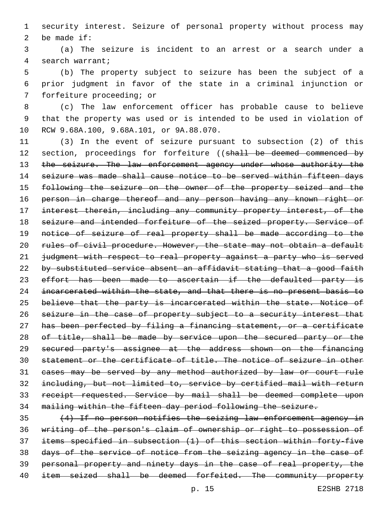1 security interest. Seizure of personal property without process may 2 be made  $if:$ 

3 (a) The seizure is incident to an arrest or a search under a 4 search warrant;

5 (b) The property subject to seizure has been the subject of a 6 prior judgment in favor of the state in a criminal injunction or 7 forfeiture proceeding; or

8 (c) The law enforcement officer has probable cause to believe 9 that the property was used or is intended to be used in violation of 10 RCW 9.68A.100, 9.68A.101, or 9A.88.070.

11 (3) In the event of seizure pursuant to subsection (2) of this 12 section, proceedings for forfeiture ((shall be deemed commenced by 13 the seizure. The law enforcement agency under whose authority the 14 seizure was made shall cause notice to be served within fifteen days 15 following the seizure on the owner of the property seized and the 16 person in charge thereof and any person having any known right or 17 interest therein, including any community property interest, of the 18 seizure and intended forfeiture of the seized property. Service of 19 notice of seizure of real property shall be made according to the 20 rules of civil procedure. However, the state may not obtain a default 21 judgment with respect to real property against a party who is served 22 by substituted service absent an affidavit stating that a good faith 23 effort has been made to ascertain if the defaulted party is 24 incarcerated within the state, and that there is no present basis to 25 believe that the party is incarcerated within the state. Notice of 26 seizure in the case of property subject to a security interest that 27 has been perfected by filing a financing statement, or a certificate 28 of title, shall be made by service upon the secured party or the 29 secured party's assignee at the address shown on the financing 30 statement or the certificate of title. The notice of seizure in other 31 cases may be served by any method authorized by law or court rule 32 including, but not limited to, service by certified mail with return 33 receipt requested. Service by mail shall be deemed complete upon 34 mailing within the fifteen day period following the seizure.

 (4) If no person notifies the seizing law enforcement agency in writing of the person's claim of ownership or right to possession of items specified in subsection (1) of this section within forty-five days of the service of notice from the seizing agency in the case of personal property and ninety days in the case of real property, the 40 item seized shall be deemed forfeited. The community property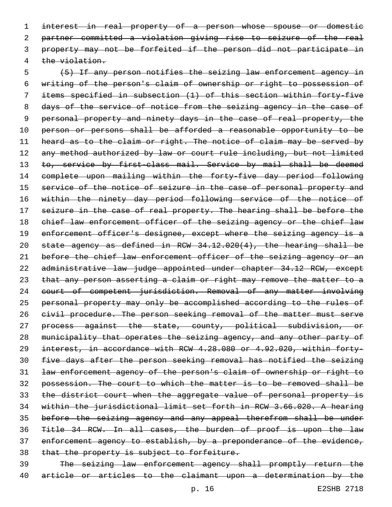interest in real property of a person whose spouse or domestic partner committed a violation giving rise to seizure of the real property may not be forfeited if the person did not participate in 4 the violation.

 (5) If any person notifies the seizing law enforcement agency in writing of the person's claim of ownership or right to possession of items specified in subsection (1) of this section within forty-five 8 days of the service of notice from the seizing agency in the case of personal property and ninety days in the case of real property, the 10 person or persons shall be afforded a reasonable opportunity to be 11 heard as to the claim or right. The notice of claim may be served by 12 any method authorized by law or court rule including, but not limited 13 to, service by first-class mail. Service by mail shall be deemed complete upon mailing within the forty-five day period following 15 service of the notice of seizure in the case of personal property and within the ninety day period following service of the notice of 17 seizure in the case of real property. The hearing shall be before the 18 chief law enforcement officer of the seizing agency or the chief law 19 enforcement officer's designee, except where the seizing agency is a state agency as defined in RCW 34.12.020(4), the hearing shall be 21 before the chief law enforcement officer of the seizing agency or an administrative law judge appointed under chapter 34.12 RCW, except that any person asserting a claim or right may remove the matter to a court of competent jurisdiction. Removal of any matter involving personal property may only be accomplished according to the rules of civil procedure. The person seeking removal of the matter must serve process against the state, county, political subdivision, or municipality that operates the seizing agency, and any other party of interest, in accordance with RCW 4.28.080 or 4.92.020, within forty- five days after the person seeking removal has notified the seizing law enforcement agency of the person's claim of ownership or right to possession. The court to which the matter is to be removed shall be 33 the district court when the aggregate value of personal property is within the jurisdictional limit set forth in RCW 3.66.020. A hearing before the seizing agency and any appeal therefrom shall be under Title 34 RCW. In all cases, the burden of proof is upon the law 37 enforcement agency to establish, by a preponderance of the evidence, 38 that the property is subject to forfeiture.

 The seizing law enforcement agency shall promptly return the article or articles to the claimant upon a determination by the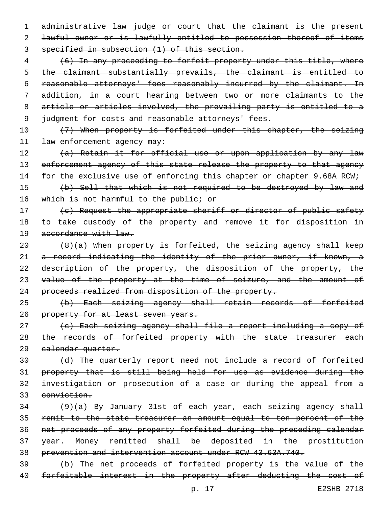1 administrative law judge or court that the claimant is the present 2 lawful owner or is lawfully entitled to possession thereof of items 3 specified in subsection (1) of this section.

 (6) In any proceeding to forfeit property under this title, where the claimant substantially prevails, the claimant is entitled to 6 reasonable attorneys' fees reasonably incurred by the claimant. In addition, in a court hearing between two or more claimants to the article or articles involved, the prevailing party is entitled to a 9 judgment for costs and reasonable attorneys' fees.

10 (7) When property is forfeited under this chapter, the seizing 11 law enforcement agency may:

12 (a) Retain it for official use or upon application by any law 13 enforcement agency of this state release the property to that agency 14 for the exclusive use of enforcing this chapter or chapter 9.68A RCW;

15 (b) Sell that which is not required to be destroyed by law and 16 which is not harmful to the public; or

17 (c) Request the appropriate sheriff or director of public safety 18 to take custody of the property and remove it for disposition in 19 accordance with law.

20  $(8)(a)$  When property is forfeited, the seizing agency shall keep 21 a record indicating the identity of the prior owner, if known, a 22 description of the property, the disposition of the property, the 23 value of the property at the time of seizure, and the amount of 24 proceeds realized from disposition of the property.

25 (b) Each seizing agency shall retain records of forfeited 26 property for at least seven years.

27 (c) Each seizing agency shall file a report including a copy of 28 the records of forfeited property with the state treasurer each 29 calendar quarter.

 (d) The quarterly report need not include a record of forfeited property that is still being held for use as evidence during the investigation or prosecution of a case or during the appeal from a conviction.

 (9)(a) By January 31st of each year, each seizing agency shall remit to the state treasurer an amount equal to ten percent of the net proceeds of any property forfeited during the preceding calendar year. Money remitted shall be deposited in the prostitution prevention and intervention account under RCW 43.63A.740.

39 (b) The net proceeds of forfeited property is the value of the 40 forfeitable interest in the property after deducting the cost of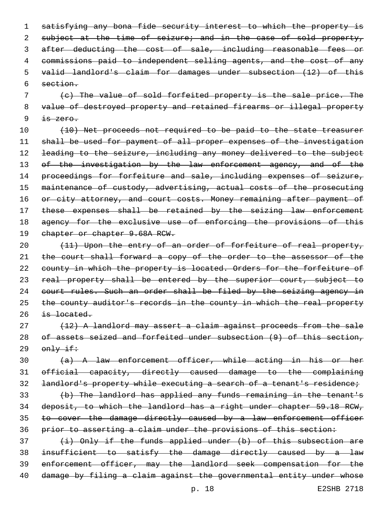1 satisfying any bona fide security interest to which the property is 2 subject at the time of seizure; and in the case of sold property, 3 after deducting the cost of sale, including reasonable fees or 4 commissions paid to independent selling agents, and the cost of any 5 valid landlord's claim for damages under subsection (12) of this 6 section.

7 (c) The value of sold forfeited property is the sale price. The 8 value of destroyed property and retained firearms or illegal property  $9$  <del>is zero.</del>

10 (10) Net proceeds not required to be paid to the state treasurer 11 shall be used for payment of all proper expenses of the investigation 12 leading to the seizure, including any money delivered to the subject 13 of the investigation by the law enforcement agency, and of the 14 proceedings for forfeiture and sale, including expenses of seizure, 15 maintenance of custody, advertising, actual costs of the prosecuting 16 or city attorney, and court costs. Money remaining after payment of 17 these expenses shall be retained by the seizing law enforcement 18 agency for the exclusive use of enforcing the provisions of this 19 chapter or chapter 9.68A RCW.

20 (11) Upon the entry of an order of forfeiture of real property, 21 the court shall forward a copy of the order to the assessor of the 22 county in which the property is located. Orders for the forfeiture of 23 real property shall be entered by the superior court, subject to 24 court rules. Such an order shall be filed by the seizing agency in 25 the county auditor's records in the county in which the real property  $26$  is located.

27 (12) A landlord may assert a claim against proceeds from the sale 28 of assets seized and forfeited under subsection (9) of this section,  $29$   $\omega$   $\frac{1}{2}$ 

30 (a) A law enforcement officer, while acting in his or her 31 official capacity, directly caused damage to the complaining 32 landlord's property while executing a search of a tenant's residence;

 (b) The landlord has applied any funds remaining in the tenant's deposit, to which the landlord has a right under chapter 59.18 RCW, 35 to cover the damage directly caused by a law enforcement officer prior to asserting a claim under the provisions of this section:

  $(i)$  Only if the funds applied under (b) of this subsection are insufficient to satisfy the damage directly caused by a law enforcement officer, may the landlord seek compensation for the 40 damage by filing a claim against the governmental entity under whose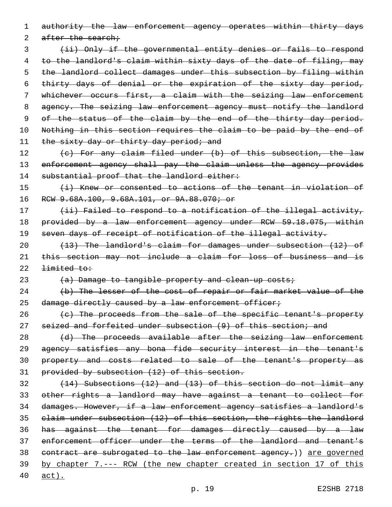1 authority the law enforcement agency operates within thirty days

2 after the search;

3 (ii) Only if the governmental entity denies or fails to respond 4 to the landlord's claim within sixty days of the date of filing, may 5 the landlord collect damages under this subsection by filing within 6 thirty days of denial or the expiration of the sixty day period, 7 whichever occurs first, a claim with the seizing law enforcement 8 agency. The seizing law enforcement agency must notify the landlord 9 of the status of the claim by the end of the thirty day period. 10 Nothing in this section requires the claim to be paid by the end of 11 the sixty day or thirty day period; and

12 (c) For any claim filed under (b) of this subsection, the law 13 enforcement agency shall pay the claim unless the agency provides 14 substantial proof that the landlord either:

15 (i) Knew or consented to actions of the tenant in violation of 16 RCW 9.68A.100, 9.68A.101, or 9A.88.070; or

17 (ii) Failed to respond to a notification of the illegal activity, 18 provided by a law enforcement agency under RCW 59.18.075, within 19 seven days of receipt of notification of the illegal activity.

20 (13) The landlord's claim for damages under subsection (12) of 21 this section may not include a claim for loss of business and is  $22$  <del>limited to:</del>

23 (a) Damage to tangible property and clean-up costs;

24 (b) The lesser of the cost of repair or fair market value of the 25 damage directly caused by a law enforcement officer;

26 (c) The proceeds from the sale of the specific tenant's property 27 seized and forfeited under subsection (9) of this section; and

28 (d) The proceeds available after the seizing law enforcement agency satisfies any bona fide security interest in the tenant's property and costs related to sale of the tenant's property as provided by subsection (12) of this section.

 (14) Subsections (12) and (13) of this section do not limit any other rights a landlord may have against a tenant to collect for damages. However, if a law enforcement agency satisfies a landlord's claim under subsection (12) of this section, the rights the landlord has against the tenant for damages directly caused by a law enforcement officer under the terms of the landlord and tenant's contract are subrogated to the law enforcement agency.)) are governed by chapter 7.--- RCW (the new chapter created in section 17 of this

40 act).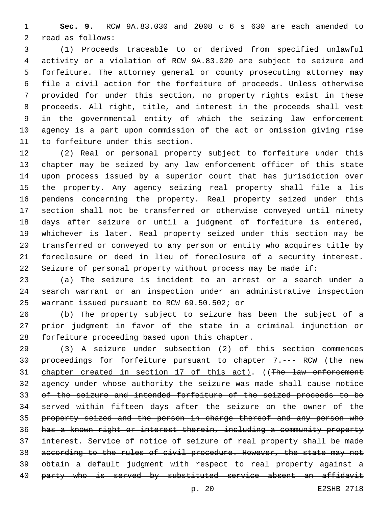**Sec. 9.** RCW 9A.83.030 and 2008 c 6 s 630 are each amended to 2 read as follows:

 (1) Proceeds traceable to or derived from specified unlawful activity or a violation of RCW 9A.83.020 are subject to seizure and forfeiture. The attorney general or county prosecuting attorney may file a civil action for the forfeiture of proceeds. Unless otherwise provided for under this section, no property rights exist in these proceeds. All right, title, and interest in the proceeds shall vest in the governmental entity of which the seizing law enforcement agency is a part upon commission of the act or omission giving rise 11 to forfeiture under this section.

 (2) Real or personal property subject to forfeiture under this chapter may be seized by any law enforcement officer of this state upon process issued by a superior court that has jurisdiction over the property. Any agency seizing real property shall file a lis pendens concerning the property. Real property seized under this section shall not be transferred or otherwise conveyed until ninety days after seizure or until a judgment of forfeiture is entered, whichever is later. Real property seized under this section may be transferred or conveyed to any person or entity who acquires title by foreclosure or deed in lieu of foreclosure of a security interest. Seizure of personal property without process may be made if:

 (a) The seizure is incident to an arrest or a search under a search warrant or an inspection under an administrative inspection 25 warrant issued pursuant to RCW 69.50.502; or

 (b) The property subject to seizure has been the subject of a prior judgment in favor of the state in a criminal injunction or 28 forfeiture proceeding based upon this chapter.

 (3) A seizure under subsection (2) of this section commences 30 proceedings for forfeiture pursuant to chapter 7.--- RCW (the new 31 chapter created in section 17 of this act). ((The law enforcement agency under whose authority the seizure was made shall cause notice of the seizure and intended forfeiture of the seized proceeds to be served within fifteen days after the seizure on the owner of the property seized and the person in charge thereof and any person who has a known right or interest therein, including a community property interest. Service of notice of seizure of real property shall be made according to the rules of civil procedure. However, the state may not obtain a default judgment with respect to real property against a 40 party who is served by substituted service absent an affidavit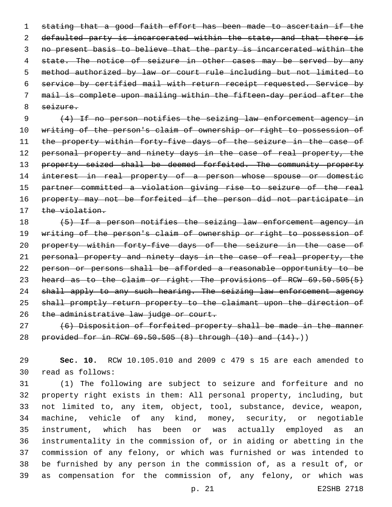stating that a good faith effort has been made to ascertain if the 2 defaulted party is incarcerated within the state, and that there is no present basis to believe that the party is incarcerated within the 4 state. The notice of seizure in other cases may be served by any method authorized by law or court rule including but not limited to service by certified mail with return receipt requested. Service by mail is complete upon mailing within the fifteen-day period after the 8 seizure.

9 (4) If no person notifies the seizing law enforcement agency in 10 writing of the person's claim of ownership or right to possession of 11 the property within forty-five days of the seizure in the case of 12 personal property and ninety days in the case of real property, the 13 property seized shall be deemed forfeited. The community property 14 interest in real property of a person whose spouse or domestic 15 partner committed a violation giving rise to seizure of the real 16 property may not be forfeited if the person did not participate in 17 the violation.

18 (5) If a person notifies the seizing law enforcement agency in 19 writing of the person's claim of ownership or right to possession of 20 property within forty-five days of the seizure in the case of 21 personal property and ninety days in the case of real property, the 22 person or persons shall be afforded a reasonable opportunity to be 23 heard as to the claim or right. The provisions of RCW 69.50.505(5) 24 shall apply to any such hearing. The seizing law enforcement agency 25 shall promptly return property to the claimant upon the direction of 26 the administrative law judge or court.

27 (6) Disposition of forfeited property shall be made in the manner 28 provided for in RCW 69.50.505 (8) through (10) and (14).))

29 **Sec. 10.** RCW 10.105.010 and 2009 c 479 s 15 are each amended to read as follows:30

 (1) The following are subject to seizure and forfeiture and no property right exists in them: All personal property, including, but not limited to, any item, object, tool, substance, device, weapon, machine, vehicle of any kind, money, security, or negotiable instrument, which has been or was actually employed as an instrumentality in the commission of, or in aiding or abetting in the commission of any felony, or which was furnished or was intended to be furnished by any person in the commission of, as a result of, or as compensation for the commission of, any felony, or which was

p. 21 E2SHB 2718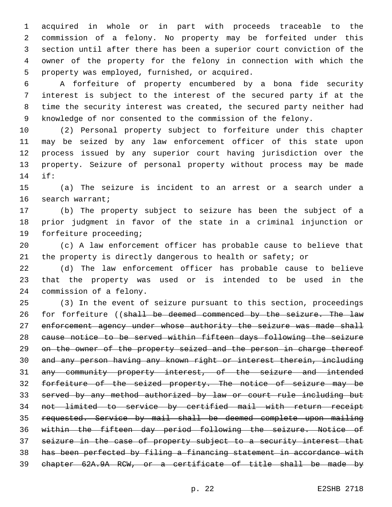acquired in whole or in part with proceeds traceable to the commission of a felony. No property may be forfeited under this section until after there has been a superior court conviction of the owner of the property for the felony in connection with which the 5 property was employed, furnished, or acquired.

 A forfeiture of property encumbered by a bona fide security interest is subject to the interest of the secured party if at the time the security interest was created, the secured party neither had knowledge of nor consented to the commission of the felony.

 (2) Personal property subject to forfeiture under this chapter may be seized by any law enforcement officer of this state upon process issued by any superior court having jurisdiction over the property. Seizure of personal property without process may be made if:14

 (a) The seizure is incident to an arrest or a search under a 16 search warrant;

 (b) The property subject to seizure has been the subject of a prior judgment in favor of the state in a criminal injunction or 19 forfeiture proceeding;

 (c) A law enforcement officer has probable cause to believe that the property is directly dangerous to health or safety; or

 (d) The law enforcement officer has probable cause to believe that the property was used or is intended to be used in the 24 commission of a felony.

 (3) In the event of seizure pursuant to this section, proceedings 26 for forfeiture ((shall be deemed commenced by the seizure. The law 27 enforcement agency under whose authority the seizure was made shall cause notice to be served within fifteen days following the seizure 29 on the owner of the property seized and the person in charge thereof and any person having any known right or interest therein, including any community property interest, of the seizure and intended forfeiture of the seized property. The notice of seizure may be served by any method authorized by law or court rule including but not limited to service by certified mail with return receipt requested. Service by mail shall be deemed complete upon mailing within the fifteen day period following the seizure. Notice of 37 seizure in the case of property subject to a security interest that has been perfected by filing a financing statement in accordance with chapter 62A.9A RCW, or a certificate of title shall be made by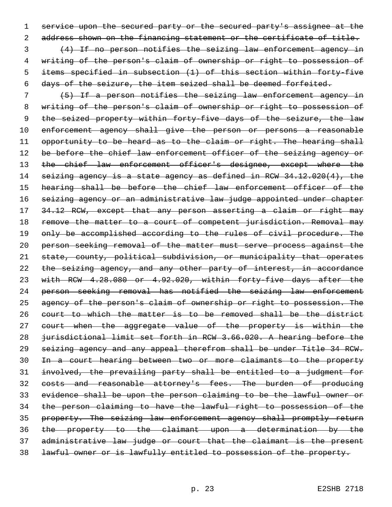service upon the secured party or the secured party's assignee at the 2 address shown on the financing statement or the certificate of title.

 (4) If no person notifies the seizing law enforcement agency in writing of the person's claim of ownership or right to possession of items specified in subsection (1) of this section within forty-five days of the seizure, the item seized shall be deemed forfeited.

 (5) If a person notifies the seizing law enforcement agency in writing of the person's claim of ownership or right to possession of 9 the seized property within forty-five days of the seizure, the law 10 enforcement agency shall give the person or persons a reasonable 11 opportunity to be heard as to the claim or right. The hearing shall 12 be before the chief law enforcement officer of the seizing agency or 13 the chief law enforcement officer's designee, except where the seizing agency is a state agency as defined in RCW 34.12.020(4), the hearing shall be before the chief law enforcement officer of the seizing agency or an administrative law judge appointed under chapter 17 34.12 RCW, except that any person asserting a claim or right may 18 remove the matter to a court of competent jurisdiction. Removal may 19 only be accomplished according to the rules of civil procedure. The person seeking removal of the matter must serve process against the state, county, political subdivision, or municipality that operates the seizing agency, and any other party of interest, in accordance with RCW 4.28.080 or 4.92.020, within forty-five days after the person seeking removal has notified the seizing law enforcement 25 agency of the person's claim of ownership or right to possession. The court to which the matter is to be removed shall be the district 27 court when the aggregate value of the property is within the jurisdictional limit set forth in RCW 3.66.020. A hearing before the seizing agency and any appeal therefrom shall be under Title 34 RCW. In a court hearing between two or more claimants to the property involved, the prevailing party shall be entitled to a judgment for 32 costs and reasonable attorney's fees. The burden of producing evidence shall be upon the person claiming to be the lawful owner or the person claiming to have the lawful right to possession of the property. The seizing law enforcement agency shall promptly return the property to the claimant upon a determination by the administrative law judge or court that the claimant is the present lawful owner or is lawfully entitled to possession of the property.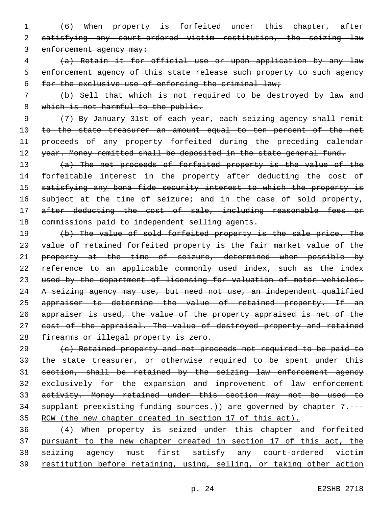- 1 (6) When property is forfeited under this chapter, after 2 satisfying any court-ordered victim restitution, the seizing law 3 enforcement agency may:
- 4 (a) Retain it for official use or upon application by any law 5 enforcement agency of this state release such property to such agency 6 for the exclusive use of enforcing the criminal law;
- 7 (b) Sell that which is not required to be destroyed by law and 8 which is not harmful to the public.

9 (7) By January 31st of each year, each seizing agency shall remit 10 to the state treasurer an amount equal to ten percent of the net 11 proceeds of any property forfeited during the preceding calendar 12 year. Money remitted shall be deposited in the state general fund.

13 (a) The net proceeds of forfeited property is the value of the 14 forfeitable interest in the property after deducting the cost of 15 satisfying any bona fide security interest to which the property is 16 subject at the time of seizure; and in the case of sold property, 17 after deducting the cost of sale, including reasonable fees or 18 commissions paid to independent selling agents.

19 (b) The value of sold forfeited property is the sale price. The 20 value of retained forfeited property is the fair market value of the 21 property at the time of seizure, determined when possible by 22 reference to an applicable commonly used index, such as the index 23 used by the department of licensing for valuation of motor vehicles. 24 A seizing agency may use, but need not use, an independent qualified 25 appraiser to determine the value of retained property. If an 26 appraiser is used, the value of the property appraised is net of the 27 cost of the appraisal. The value of destroyed property and retained 28 firearms or illegal property is zero.

 (c) Retained property and net proceeds not required to be paid to 30 the state treasurer, or otherwise required to be spent under this section, shall be retained by the seizing law enforcement agency exclusively for the expansion and improvement of law enforcement activity. Money retained under this section may not be used to 34 supplant preexisting funding sources.) are governed by chapter 7.---RCW (the new chapter created in section 17 of this act).

 (4) When property is seized under this chapter and forfeited 37 pursuant to the new chapter created in section 17 of this act, the seizing agency must first satisfy any court-ordered victim restitution before retaining, using, selling, or taking other action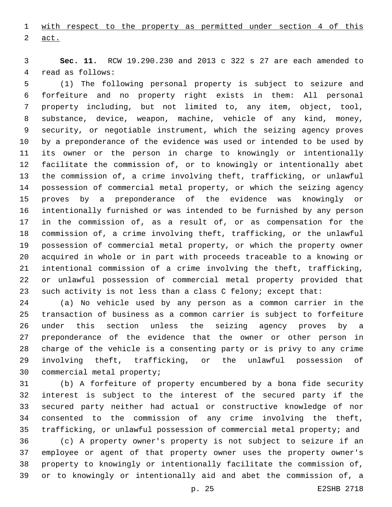with respect to the property as permitted under section 4 of this  $2 \quad \text{act.}$ 

 **Sec. 11.** RCW 19.290.230 and 2013 c 322 s 27 are each amended to 4 read as follows:

 (1) The following personal property is subject to seizure and forfeiture and no property right exists in them: All personal property including, but not limited to, any item, object, tool, substance, device, weapon, machine, vehicle of any kind, money, security, or negotiable instrument, which the seizing agency proves by a preponderance of the evidence was used or intended to be used by its owner or the person in charge to knowingly or intentionally facilitate the commission of, or to knowingly or intentionally abet the commission of, a crime involving theft, trafficking, or unlawful possession of commercial metal property, or which the seizing agency proves by a preponderance of the evidence was knowingly or intentionally furnished or was intended to be furnished by any person in the commission of, as a result of, or as compensation for the commission of, a crime involving theft, trafficking, or the unlawful possession of commercial metal property, or which the property owner acquired in whole or in part with proceeds traceable to a knowing or intentional commission of a crime involving the theft, trafficking, or unlawful possession of commercial metal property provided that such activity is not less than a class C felony; except that:

 (a) No vehicle used by any person as a common carrier in the transaction of business as a common carrier is subject to forfeiture under this section unless the seizing agency proves by a preponderance of the evidence that the owner or other person in charge of the vehicle is a consenting party or is privy to any crime involving theft, trafficking, or the unlawful possession of 30 commercial metal property;

 (b) A forfeiture of property encumbered by a bona fide security interest is subject to the interest of the secured party if the secured party neither had actual or constructive knowledge of nor consented to the commission of any crime involving the theft, trafficking, or unlawful possession of commercial metal property; and

 (c) A property owner's property is not subject to seizure if an employee or agent of that property owner uses the property owner's property to knowingly or intentionally facilitate the commission of, or to knowingly or intentionally aid and abet the commission of, a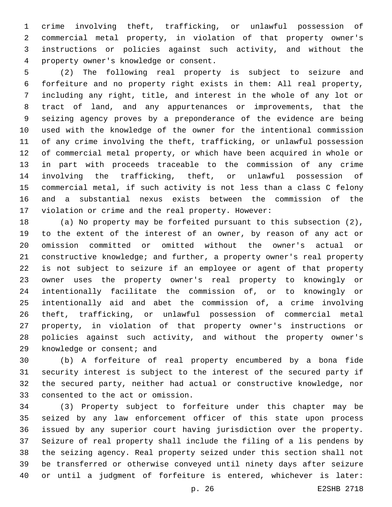crime involving theft, trafficking, or unlawful possession of commercial metal property, in violation of that property owner's instructions or policies against such activity, and without the property owner's knowledge or consent.4

 (2) The following real property is subject to seizure and forfeiture and no property right exists in them: All real property, including any right, title, and interest in the whole of any lot or tract of land, and any appurtenances or improvements, that the seizing agency proves by a preponderance of the evidence are being used with the knowledge of the owner for the intentional commission of any crime involving the theft, trafficking, or unlawful possession of commercial metal property, or which have been acquired in whole or in part with proceeds traceable to the commission of any crime involving the trafficking, theft, or unlawful possession of commercial metal, if such activity is not less than a class C felony and a substantial nexus exists between the commission of the violation or crime and the real property. However:

 (a) No property may be forfeited pursuant to this subsection (2), to the extent of the interest of an owner, by reason of any act or omission committed or omitted without the owner's actual or constructive knowledge; and further, a property owner's real property is not subject to seizure if an employee or agent of that property owner uses the property owner's real property to knowingly or intentionally facilitate the commission of, or to knowingly or intentionally aid and abet the commission of, a crime involving theft, trafficking, or unlawful possession of commercial metal property, in violation of that property owner's instructions or policies against such activity, and without the property owner's 29 knowledge or consent; and

 (b) A forfeiture of real property encumbered by a bona fide security interest is subject to the interest of the secured party if the secured party, neither had actual or constructive knowledge, nor 33 consented to the act or omission.

 (3) Property subject to forfeiture under this chapter may be seized by any law enforcement officer of this state upon process issued by any superior court having jurisdiction over the property. Seizure of real property shall include the filing of a lis pendens by the seizing agency. Real property seized under this section shall not be transferred or otherwise conveyed until ninety days after seizure or until a judgment of forfeiture is entered, whichever is later:

p. 26 E2SHB 2718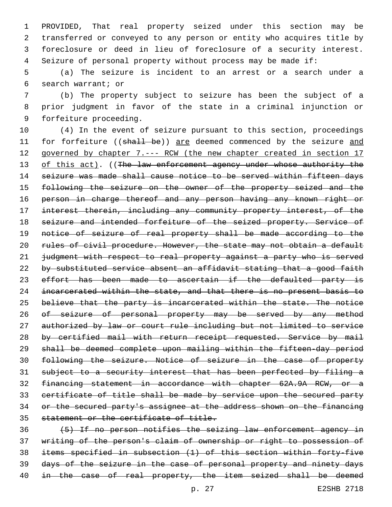PROVIDED, That real property seized under this section may be transferred or conveyed to any person or entity who acquires title by foreclosure or deed in lieu of foreclosure of a security interest. Seizure of personal property without process may be made if:

5 (a) The seizure is incident to an arrest or a search under a search warrant; or6

7 (b) The property subject to seizure has been the subject of a 8 prior judgment in favor of the state in a criminal injunction or 9 forfeiture proceeding.

10 (4) In the event of seizure pursuant to this section, proceedings 11 for forfeiture ((shall be)) are deemed commenced by the seizure and 12 governed by chapter 7.--- RCW (the new chapter created in section 17 13 of this act). ((The law enforcement agency under whose authority the 14 seizure was made shall cause notice to be served within fifteen days 15 following the seizure on the owner of the property seized and the 16 person in charge thereof and any person having any known right or 17 interest therein, including any community property interest, of the 18 seizure and intended forfeiture of the seized property. Service of 19 notice of seizure of real property shall be made according to the 20 rules of civil procedure. However, the state may not obtain a default 21 judgment with respect to real property against a party who is served 22 by substituted service absent an affidavit stating that a good faith 23 effort has been made to ascertain if the defaulted party is 24 incarcerated within the state, and that there is no present basis to 25 believe that the party is incarcerated within the state. The notice 26 of seizure of personal property may be served by any method 27 authorized by law or court rule including but not limited to service 28 by certified mail with return receipt requested. Service by mail 29 shall be deemed complete upon mailing within the fifteen-day period 30 following the seizure. Notice of seizure in the case of property 31 subject to a security interest that has been perfected by filing a 32 financing statement in accordance with chapter 62A.9A RCW, or a 33 certificate of title shall be made by service upon the secured party 34 or the secured party's assignee at the address shown on the financing 35 statement or the certificate of title.

 (5) If no person notifies the seizing law enforcement agency in writing of the person's claim of ownership or right to possession of items specified in subsection (1) of this section within forty-five days of the seizure in the case of personal property and ninety days 40 in the case of real property, the item seized shall be deemed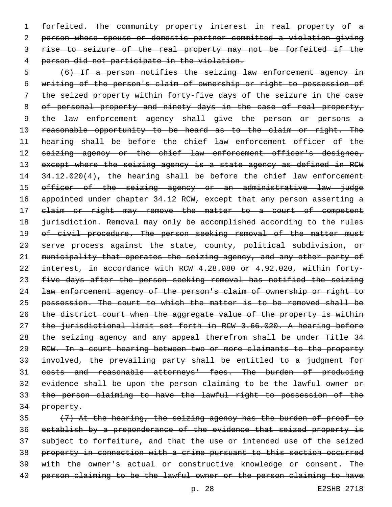forfeited. The community property interest in real property of a person whose spouse or domestic partner committed a violation giving rise to seizure of the real property may not be forfeited if the 4 person did not participate in the violation.

 (6) If a person notifies the seizing law enforcement agency in writing of the person's claim of ownership or right to possession of the seized property within forty-five days of the seizure in the case 8 of personal property and ninety days in the case of real property, 9 the law enforcement agency shall give the person or persons a 10 reasonable opportunity to be heard as to the claim or right. The hearing shall be before the chief law enforcement officer of the 12 seizing agency or the chief law enforcement officer's designee, 13 except where the seizing agency is a state agency as defined in RCW 14 34.12.020(4), the hearing shall be before the chief law enforcement 15 officer of the seizing agency or an administrative law judge 16 appointed under chapter 34.12 RCW, except that any person asserting a 17 elaim or right may remove the matter to a court of competent 18 jurisdiction. Removal may only be accomplished according to the rules 19 of civil procedure. The person seeking removal of the matter must serve process against the state, county, political subdivision, or municipality that operates the seizing agency, and any other party of interest, in accordance with RCW 4.28.080 or 4.92.020, within forty-23 five days after the person seeking removal has notified the seizing law enforcement agency of the person's claim of ownership or right to possession. The court to which the matter is to be removed shall be 26 the district court when the aggregate value of the property is within the jurisdictional limit set forth in RCW 3.66.020. A hearing before the seizing agency and any appeal therefrom shall be under Title 34 RCW. In a court hearing between two or more claimants to the property involved, the prevailing party shall be entitled to a judgment for costs and reasonable attorneys' fees. The burden of producing evidence shall be upon the person claiming to be the lawful owner or the person claiming to have the lawful right to possession of the property.

 (7) At the hearing, the seizing agency has the burden of proof to establish by a preponderance of the evidence that seized property is subject to forfeiture, and that the use or intended use of the seized property in connection with a crime pursuant to this section occurred with the owner's actual or constructive knowledge or consent. The 40 person claiming to be the lawful owner or the person claiming to have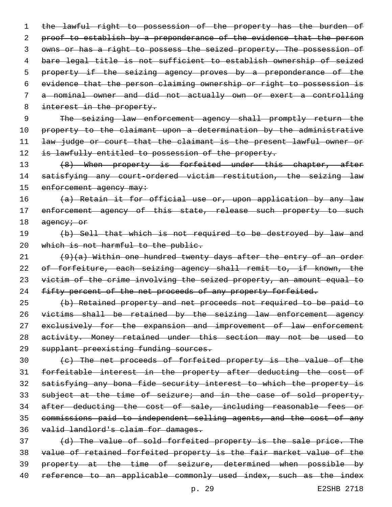the lawful right to possession of the property has the burden of 2 proof to establish by a preponderance of the evidence that the person owns or has a right to possess the seized property. The possession of bare legal title is not sufficient to establish ownership of seized 5 property if the seizing agency proves by a preponderance of the evidence that the person claiming ownership or right to possession is a nominal owner and did not actually own or exert a controlling 8 interest in the property. The seizing law enforcement agency shall promptly return the 10 property to the claimant upon a determination by the administrative law judge or court that the claimant is the present lawful owner or 12 is lawfully entitled to possession of the property. 13 (8) When property is forfeited under this chapter, after satisfying any court-ordered victim restitution, the seizing law 15 enforcement agency may: (a) Retain it for official use or, upon application by any law 17 enforcement agency of this state, release such property to such 18 agency; or (b) Sell that which is not required to be destroyed by law and 20 which is not harmful to the public.  $(9)(a)$  Within one hundred twenty days after the entry of an order of forfeiture, each seizing agency shall remit to, if known, the victim of the crime involving the seized property, an amount equal to 24 fifty percent of the net proceeds of any property forfeited. (b) Retained property and net proceeds not required to be paid to victims shall be retained by the seizing law enforcement agency 27 exclusively for the expansion and improvement of law enforcement activity. Money retained under this section may not be used to supplant preexisting funding sources. (c) The net proceeds of forfeited property is the value of the forfeitable interest in the property after deducting the cost of satisfying any bona fide security interest to which the property is 33 subject at the time of seizure; and in the case of sold property, after deducting the cost of sale, including reasonable fees or

35 commissions paid to independent selling agents, and the cost of any 36 valid landlord's claim for damages.

37 (d) The value of sold forfeited property is the sale price. The 38 value of retained forfeited property is the fair market value of the 39 property at the time of seizure, determined when possible by 40 reference to an applicable commonly used index, such as the index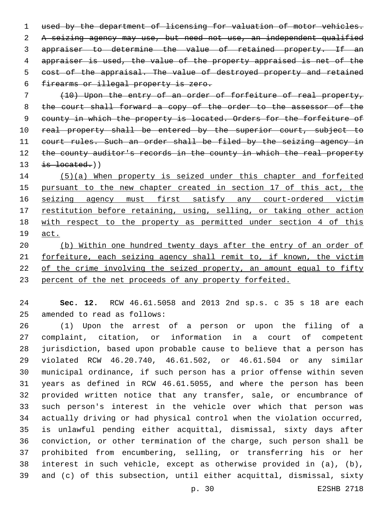used by the department of licensing for valuation of motor vehicles. A seizing agency may use, but need not use, an independent qualified appraiser to determine the value of retained property. If an appraiser is used, the value of the property appraised is net of the cost of the appraisal. The value of destroyed property and retained 6 firearms or illegal property is zero.

 (10) Upon the entry of an order of forfeiture of real property, 8 the court shall forward a copy of the order to the assessor of the 9 county in which the property is located. Orders for the forfeiture of 10 real property shall be entered by the superior court, subject to 11 court rules. Such an order shall be filed by the seizing agency in 12 the county auditor's records in the county in which the real property is located.)

 (5)(a) When property is seized under this chapter and forfeited 15 pursuant to the new chapter created in section 17 of this act, the 16 seizing agency must first satisfy any court-ordered victim 17 restitution before retaining, using, selling, or taking other action with respect to the property as permitted under section 4 of this act.

 (b) Within one hundred twenty days after the entry of an order of forfeiture, each seizing agency shall remit to, if known, the victim 22 of the crime involving the seized property, an amount equal to fifty percent of the net proceeds of any property forfeited.

 **Sec. 12.** RCW 46.61.5058 and 2013 2nd sp.s. c 35 s 18 are each 25 amended to read as follows:

 (1) Upon the arrest of a person or upon the filing of a complaint, citation, or information in a court of competent jurisdiction, based upon probable cause to believe that a person has violated RCW 46.20.740, 46.61.502, or 46.61.504 or any similar municipal ordinance, if such person has a prior offense within seven years as defined in RCW 46.61.5055, and where the person has been provided written notice that any transfer, sale, or encumbrance of such person's interest in the vehicle over which that person was actually driving or had physical control when the violation occurred, is unlawful pending either acquittal, dismissal, sixty days after conviction, or other termination of the charge, such person shall be prohibited from encumbering, selling, or transferring his or her interest in such vehicle, except as otherwise provided in (a), (b), and (c) of this subsection, until either acquittal, dismissal, sixty

p. 30 E2SHB 2718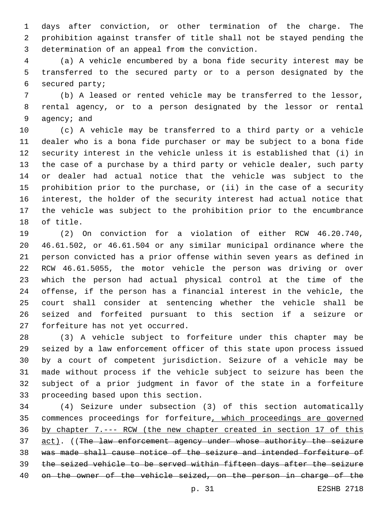days after conviction, or other termination of the charge. The prohibition against transfer of title shall not be stayed pending the 3 determination of an appeal from the conviction.

 (a) A vehicle encumbered by a bona fide security interest may be transferred to the secured party or to a person designated by the 6 secured party;

 (b) A leased or rented vehicle may be transferred to the lessor, rental agency, or to a person designated by the lessor or rental 9 agency; and

 (c) A vehicle may be transferred to a third party or a vehicle dealer who is a bona fide purchaser or may be subject to a bona fide security interest in the vehicle unless it is established that (i) in the case of a purchase by a third party or vehicle dealer, such party or dealer had actual notice that the vehicle was subject to the prohibition prior to the purchase, or (ii) in the case of a security interest, the holder of the security interest had actual notice that the vehicle was subject to the prohibition prior to the encumbrance 18 of title.

 (2) On conviction for a violation of either RCW 46.20.740, 46.61.502, or 46.61.504 or any similar municipal ordinance where the person convicted has a prior offense within seven years as defined in RCW 46.61.5055, the motor vehicle the person was driving or over which the person had actual physical control at the time of the offense, if the person has a financial interest in the vehicle, the court shall consider at sentencing whether the vehicle shall be seized and forfeited pursuant to this section if a seizure or 27 forfeiture has not yet occurred.

 (3) A vehicle subject to forfeiture under this chapter may be seized by a law enforcement officer of this state upon process issued by a court of competent jurisdiction. Seizure of a vehicle may be made without process if the vehicle subject to seizure has been the subject of a prior judgment in favor of the state in a forfeiture 33 proceeding based upon this section.

 (4) Seizure under subsection (3) of this section automatically commences proceedings for forfeiture, which proceedings are governed by chapter 7.--- RCW (the new chapter created in section 17 of this 37 act). ((The law enforcement agency under whose authority the seizure was made shall cause notice of the seizure and intended forfeiture of the seized vehicle to be served within fifteen days after the seizure on the owner of the vehicle seized, on the person in charge of the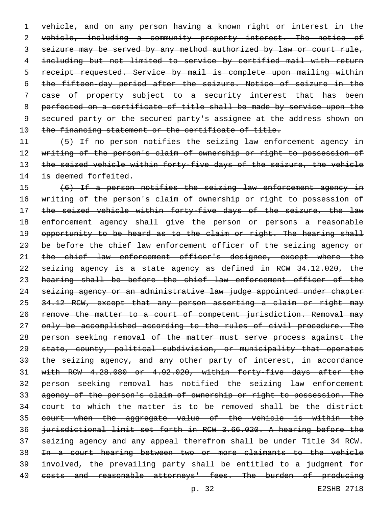vehicle, and on any person having a known right or interest in the vehicle, including a community property interest. The notice of seizure may be served by any method authorized by law or court rule, including but not limited to service by certified mail with return 5 receipt requested. Service by mail is complete upon mailing within the fifteen-day period after the seizure. Notice of seizure in the case of property subject to a security interest that has been perfected on a certificate of title shall be made by service upon the secured party or the secured party's assignee at the address shown on 10 the financing statement or the certificate of title.

 (5) If no person notifies the seizing law enforcement agency in 12 writing of the person's claim of ownership or right to possession of 13 the seized vehicle within forty-five days of the seizure, the vehicle 14 is deemed forfeited.

 (6) If a person notifies the seizing law enforcement agency in writing of the person's claim of ownership or right to possession of 17 the seized vehicle within forty-five days of the seizure, the law enforcement agency shall give the person or persons a reasonable 19 opportunity to be heard as to the claim or right. The hearing shall 20 be before the chief law enforcement officer of the seizing agency or 21 the chief law enforcement officer's designee, except where the seizing agency is a state agency as defined in RCW 34.12.020, the hearing shall be before the chief law enforcement officer of the seizing agency or an administrative law judge appointed under chapter 25 34.12 RCW, except that any person asserting a claim or right may 26 remove the matter to a court of competent jurisdiction. Removal may 27 only be accomplished according to the rules of civil procedure. The person seeking removal of the matter must serve process against the state, county, political subdivision, or municipality that operates the seizing agency, and any other party of interest, in accordance with RCW 4.28.080 or 4.92.020, within forty-five days after the person seeking removal has notified the seizing law enforcement agency of the person's claim of ownership or right to possession. The court to which the matter is to be removed shall be the district court when the aggregate value of the vehicle is within the jurisdictional limit set forth in RCW 3.66.020. A hearing before the seizing agency and any appeal therefrom shall be under Title 34 RCW. In a court hearing between two or more claimants to the vehicle involved, the prevailing party shall be entitled to a judgment for 40 costs and reasonable attorneys' fees. The burden of producing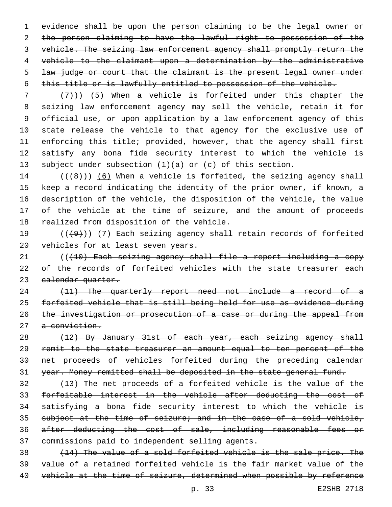evidence shall be upon the person claiming to be the legal owner or the person claiming to have the lawful right to possession of the vehicle. The seizing law enforcement agency shall promptly return the vehicle to the claimant upon a determination by the administrative 5 law judge or court that the claimant is the present legal owner under this title or is lawfully entitled to possession of the vehicle.

 $(7+)$ ) (5) When a vehicle is forfeited under this chapter the seizing law enforcement agency may sell the vehicle, retain it for official use, or upon application by a law enforcement agency of this state release the vehicle to that agency for the exclusive use of enforcing this title; provided, however, that the agency shall first satisfy any bona fide security interest to which the vehicle is subject under subsection (1)(a) or (c) of this section.

 $((+8))$   $(6)$  When a vehicle is forfeited, the seizing agency shall keep a record indicating the identity of the prior owner, if known, a description of the vehicle, the disposition of the vehicle, the value of the vehicle at the time of seizure, and the amount of proceeds 18 realized from disposition of the vehicle.

19  $((+9+))$  (7) Each seizing agency shall retain records of forfeited 20 vehicles for at least seven years.

 (((10) Each seizing agency shall file a report including a copy 22 of the records of forfeited vehicles with the state treasurer each 23 calendar quarter.

24 (11) The quarterly report need not include a record of a forfeited vehicle that is still being held for use as evidence during the investigation or prosecution of a case or during the appeal from a conviction.

28 (12) By January 31st of each year, each seizing agency shall remit to the state treasurer an amount equal to ten percent of the net proceeds of vehicles forfeited during the preceding calendar year. Money remitted shall be deposited in the state general fund.

 (13) The net proceeds of a forfeited vehicle is the value of the forfeitable interest in the vehicle after deducting the cost of satisfying a bona fide security interest to which the vehicle is 35 subject at the time of seizure; and in the case of a sold vehicle, after deducting the cost of sale, including reasonable fees or commissions paid to independent selling agents.

 (14) The value of a sold forfeited vehicle is the sale price. The value of a retained forfeited vehicle is the fair market value of the 40 vehicle at the time of seizure, determined when possible by reference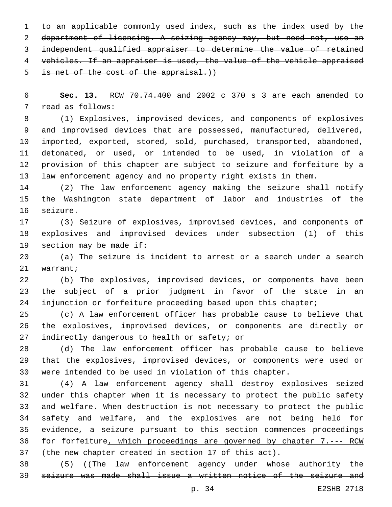to an applicable commonly used index, such as the index used by the department of licensing. A seizing agency may, but need not, use an independent qualified appraiser to determine the value of retained vehicles. If an appraiser is used, the value of the vehicle appraised 5 is net of the cost of the appraisal.))

 **Sec. 13.** RCW 70.74.400 and 2002 c 370 s 3 are each amended to 7 read as follows:

 (1) Explosives, improvised devices, and components of explosives and improvised devices that are possessed, manufactured, delivered, imported, exported, stored, sold, purchased, transported, abandoned, detonated, or used, or intended to be used, in violation of a provision of this chapter are subject to seizure and forfeiture by a law enforcement agency and no property right exists in them.

 (2) The law enforcement agency making the seizure shall notify the Washington state department of labor and industries of the 16 seizure.

 (3) Seizure of explosives, improvised devices, and components of explosives and improvised devices under subsection (1) of this 19 section may be made if:

 (a) The seizure is incident to arrest or a search under a search 21 warrant;

 (b) The explosives, improvised devices, or components have been the subject of a prior judgment in favor of the state in an injunction or forfeiture proceeding based upon this chapter;

 (c) A law enforcement officer has probable cause to believe that the explosives, improvised devices, or components are directly or 27 indirectly dangerous to health or safety; or

 (d) The law enforcement officer has probable cause to believe that the explosives, improvised devices, or components were used or were intended to be used in violation of this chapter.

 (4) A law enforcement agency shall destroy explosives seized under this chapter when it is necessary to protect the public safety and welfare. When destruction is not necessary to protect the public safety and welfare, and the explosives are not being held for evidence, a seizure pursuant to this section commences proceedings for forfeiture, which proceedings are governed by chapter 7.--- RCW (the new chapter created in section 17 of this act).

 (5) ((The law enforcement agency under whose authority the seizure was made shall issue a written notice of the seizure and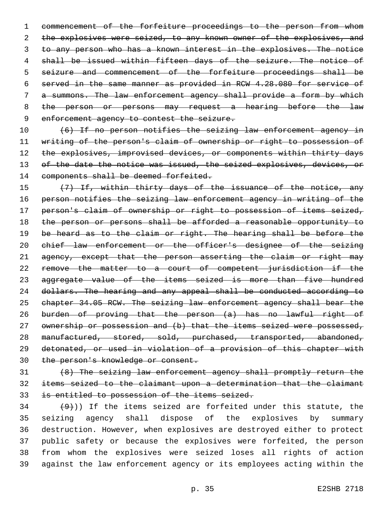commencement of the forfeiture proceedings to the person from whom 2 the explosives were seized, to any known owner of the explosives, and 3 to any person who has a known interest in the explosives. The notice 4 shall be issued within fifteen days of the seizure. The notice of 5 seizure and commencement of the forfeiture proceedings shall be served in the same manner as provided in RCW 4.28.080 for service of a summons. The law enforcement agency shall provide a form by which 8 the person or persons may request a hearing before the law 9 enforcement agency to contest the seizure.

 (6) If no person notifies the seizing law enforcement agency in writing of the person's claim of ownership or right to possession of 12 the explosives, improvised devices, or components within thirty days 13 of the date the notice was issued, the seized explosives, devices, or 14 components shall be deemed forfeited.

 (7) If, within thirty days of the issuance of the notice, any person notifies the seizing law enforcement agency in writing of the person's claim of ownership or right to possession of items seized, the person or persons shall be afforded a reasonable opportunity to 19 be heard as to the claim or right. The hearing shall be before the chief law enforcement or the officer's designee of the seizing 21 agency, except that the person asserting the claim or right may remove the matter to a court of competent jurisdiction if the aggregate value of the items seized is more than five hundred dollars. The hearing and any appeal shall be conducted according to chapter 34.05 RCW. The seizing law enforcement agency shall bear the burden of proving that the person (a) has no lawful right of 27 ownership or possession and (b) that the items seized were possessed, manufactured, stored, sold, purchased, transported, abandoned, detonated, or used in violation of a provision of this chapter with the person's knowledge or consent.

 (8) The seizing law enforcement agency shall promptly return the items seized to the claimant upon a determination that the claimant is entitled to possession of the items seized.

 $(9)$ )) If the items seized are forfeited under this statute, the seizing agency shall dispose of the explosives by summary destruction. However, when explosives are destroyed either to protect public safety or because the explosives were forfeited, the person from whom the explosives were seized loses all rights of action against the law enforcement agency or its employees acting within the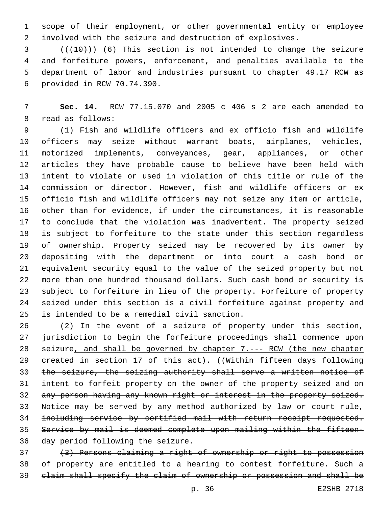scope of their employment, or other governmental entity or employee involved with the seizure and destruction of explosives.

 ( $(\overline{+10})$ ) (6) This section is not intended to change the seizure and forfeiture powers, enforcement, and penalties available to the department of labor and industries pursuant to chapter 49.17 RCW as provided in RCW 70.74.390.6

 **Sec. 14.** RCW 77.15.070 and 2005 c 406 s 2 are each amended to 8 read as follows:

 (1) Fish and wildlife officers and ex officio fish and wildlife officers may seize without warrant boats, airplanes, vehicles, motorized implements, conveyances, gear, appliances, or other articles they have probable cause to believe have been held with intent to violate or used in violation of this title or rule of the commission or director. However, fish and wildlife officers or ex officio fish and wildlife officers may not seize any item or article, other than for evidence, if under the circumstances, it is reasonable to conclude that the violation was inadvertent. The property seized is subject to forfeiture to the state under this section regardless of ownership. Property seized may be recovered by its owner by depositing with the department or into court a cash bond or equivalent security equal to the value of the seized property but not more than one hundred thousand dollars. Such cash bond or security is subject to forfeiture in lieu of the property. Forfeiture of property seized under this section is a civil forfeiture against property and 25 is intended to be a remedial civil sanction.

 (2) In the event of a seizure of property under this section, jurisdiction to begin the forfeiture proceedings shall commence upon seizure, and shall be governed by chapter 7.--- RCW (the new chapter 29 created in section 17 of this act). ((Within fifteen days following the seizure, the seizing authority shall serve a written notice of intent to forfeit property on the owner of the property seized and on any person having any known right or interest in the property seized. Notice may be served by any method authorized by law or court rule, including service by certified mail with return receipt requested. Service by mail is deemed complete upon mailing within the fifteen-day period following the seizure.

 (3) Persons claiming a right of ownership or right to possession of property are entitled to a hearing to contest forfeiture. Such a claim shall specify the claim of ownership or possession and shall be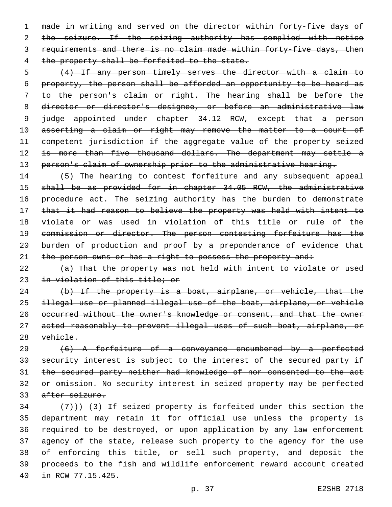made in writing and served on the director within forty-five days of 2 the seizure. If the seizing authority has complied with notice requirements and there is no claim made within forty-five days, then 4 the property shall be forfeited to the state.

 (4) If any person timely serves the director with a claim to property, the person shall be afforded an opportunity to be heard as to the person's claim or right. The hearing shall be before the director or director's designee, or before an administrative law 9 judge appointed under chapter 34.12 RCW, except that a person 10 asserting a claim or right may remove the matter to a court of competent jurisdiction if the aggregate value of the property seized 12 is more than five thousand dollars. The department may settle a 13 person's claim of ownership prior to the administrative hearing.

14 (5) The hearing to contest forfeiture and any subsequent appeal shall be as provided for in chapter 34.05 RCW, the administrative 16 procedure act. The seizing authority has the burden to demonstrate 17 that it had reason to believe the property was held with intent to violate or was used in violation of this title or rule of the 19 commission or director. The person contesting forfeiture has the 20 burden of production and proof by a preponderance of evidence that 21 the person owns or has a right to possess the property and:

 (a) That the property was not held with intent to violate or used in violation of this title; or

24 (b) If the property is a boat, airplane, or vehicle, that the illegal use or planned illegal use of the boat, airplane, or vehicle occurred without the owner's knowledge or consent, and that the owner acted reasonably to prevent illegal uses of such boat, airplane, or vehicle.

 (6) A forfeiture of a conveyance encumbered by a perfected security interest is subject to the interest of the secured party if the secured party neither had knowledge of nor consented to the act or omission. No security interest in seized property may be perfected after seizure.

 $(7)$ ) (3) If seized property is forfeited under this section the department may retain it for official use unless the property is required to be destroyed, or upon application by any law enforcement agency of the state, release such property to the agency for the use of enforcing this title, or sell such property, and deposit the proceeds to the fish and wildlife enforcement reward account created 40 in RCW 77.15.425.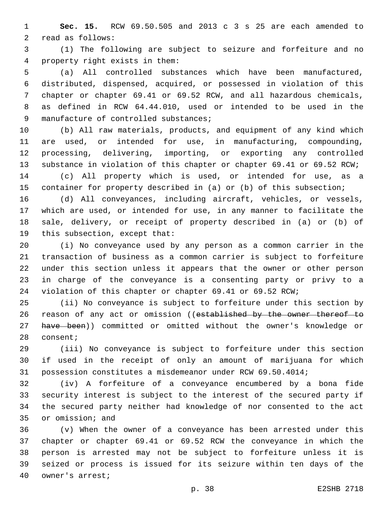**Sec. 15.** RCW 69.50.505 and 2013 c 3 s 25 are each amended to 2 read as follows:

 (1) The following are subject to seizure and forfeiture and no property right exists in them:4

 (a) All controlled substances which have been manufactured, distributed, dispensed, acquired, or possessed in violation of this chapter or chapter 69.41 or 69.52 RCW, and all hazardous chemicals, as defined in RCW 64.44.010, used or intended to be used in the 9 manufacture of controlled substances;

 (b) All raw materials, products, and equipment of any kind which are used, or intended for use, in manufacturing, compounding, processing, delivering, importing, or exporting any controlled substance in violation of this chapter or chapter 69.41 or 69.52 RCW;

 (c) All property which is used, or intended for use, as a container for property described in (a) or (b) of this subsection;

 (d) All conveyances, including aircraft, vehicles, or vessels, which are used, or intended for use, in any manner to facilitate the sale, delivery, or receipt of property described in (a) or (b) of 19 this subsection, except that:

 (i) No conveyance used by any person as a common carrier in the transaction of business as a common carrier is subject to forfeiture under this section unless it appears that the owner or other person in charge of the conveyance is a consenting party or privy to a violation of this chapter or chapter 69.41 or 69.52 RCW;

 (ii) No conveyance is subject to forfeiture under this section by 26 reason of any act or omission ((established by the owner thereof to 27 have been)) committed or omitted without the owner's knowledge or 28 consent;

 (iii) No conveyance is subject to forfeiture under this section if used in the receipt of only an amount of marijuana for which possession constitutes a misdemeanor under RCW 69.50.4014;

 (iv) A forfeiture of a conveyance encumbered by a bona fide security interest is subject to the interest of the secured party if the secured party neither had knowledge of nor consented to the act 35 or omission; and

 (v) When the owner of a conveyance has been arrested under this chapter or chapter 69.41 or 69.52 RCW the conveyance in which the person is arrested may not be subject to forfeiture unless it is seized or process is issued for its seizure within ten days of the 40 owner's arrest;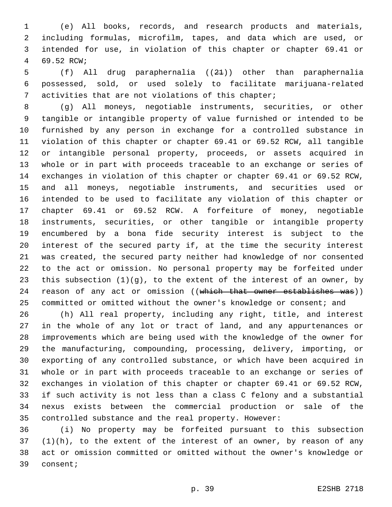(e) All books, records, and research products and materials, including formulas, microfilm, tapes, and data which are used, or intended for use, in violation of this chapter or chapter 69.41 or 4 69.52 RCW;

 (f) All drug paraphernalia ((21)) other than paraphernalia possessed, sold, or used solely to facilitate marijuana-related activities that are not violations of this chapter;

 (g) All moneys, negotiable instruments, securities, or other tangible or intangible property of value furnished or intended to be furnished by any person in exchange for a controlled substance in violation of this chapter or chapter 69.41 or 69.52 RCW, all tangible or intangible personal property, proceeds, or assets acquired in whole or in part with proceeds traceable to an exchange or series of exchanges in violation of this chapter or chapter 69.41 or 69.52 RCW, and all moneys, negotiable instruments, and securities used or intended to be used to facilitate any violation of this chapter or chapter 69.41 or 69.52 RCW. A forfeiture of money, negotiable instruments, securities, or other tangible or intangible property encumbered by a bona fide security interest is subject to the interest of the secured party if, at the time the security interest was created, the secured party neither had knowledge of nor consented to the act or omission. No personal property may be forfeited under this subsection (1)(g), to the extent of the interest of an owner, by 24 reason of any act or omission ((which that owner establishes was)) 25 committed or omitted without the owner's knowledge or consent; and

 (h) All real property, including any right, title, and interest in the whole of any lot or tract of land, and any appurtenances or improvements which are being used with the knowledge of the owner for the manufacturing, compounding, processing, delivery, importing, or exporting of any controlled substance, or which have been acquired in whole or in part with proceeds traceable to an exchange or series of exchanges in violation of this chapter or chapter 69.41 or 69.52 RCW, if such activity is not less than a class C felony and a substantial nexus exists between the commercial production or sale of the controlled substance and the real property. However:

 (i) No property may be forfeited pursuant to this subsection (1)(h), to the extent of the interest of an owner, by reason of any act or omission committed or omitted without the owner's knowledge or 39 consent;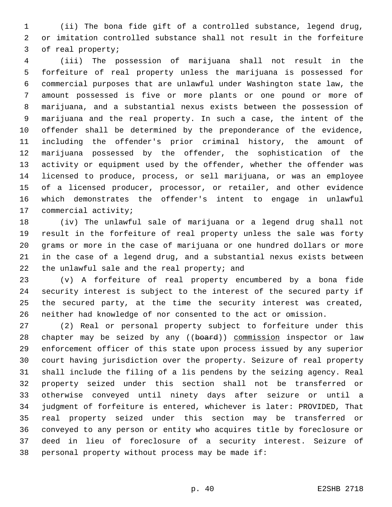(ii) The bona fide gift of a controlled substance, legend drug, or imitation controlled substance shall not result in the forfeiture 3 of real property;

 (iii) The possession of marijuana shall not result in the forfeiture of real property unless the marijuana is possessed for commercial purposes that are unlawful under Washington state law, the amount possessed is five or more plants or one pound or more of marijuana, and a substantial nexus exists between the possession of marijuana and the real property. In such a case, the intent of the offender shall be determined by the preponderance of the evidence, including the offender's prior criminal history, the amount of marijuana possessed by the offender, the sophistication of the activity or equipment used by the offender, whether the offender was licensed to produce, process, or sell marijuana, or was an employee of a licensed producer, processor, or retailer, and other evidence which demonstrates the offender's intent to engage in unlawful 17 commercial activity;

 (iv) The unlawful sale of marijuana or a legend drug shall not result in the forfeiture of real property unless the sale was forty grams or more in the case of marijuana or one hundred dollars or more in the case of a legend drug, and a substantial nexus exists between 22 the unlawful sale and the real property; and

 (v) A forfeiture of real property encumbered by a bona fide security interest is subject to the interest of the secured party if the secured party, at the time the security interest was created, neither had knowledge of nor consented to the act or omission.

 (2) Real or personal property subject to forfeiture under this 28 chapter may be seized by any ((board)) commission inspector or law enforcement officer of this state upon process issued by any superior court having jurisdiction over the property. Seizure of real property shall include the filing of a lis pendens by the seizing agency. Real property seized under this section shall not be transferred or otherwise conveyed until ninety days after seizure or until a judgment of forfeiture is entered, whichever is later: PROVIDED, That real property seized under this section may be transferred or conveyed to any person or entity who acquires title by foreclosure or deed in lieu of foreclosure of a security interest. Seizure of 38 personal property without process may be made if: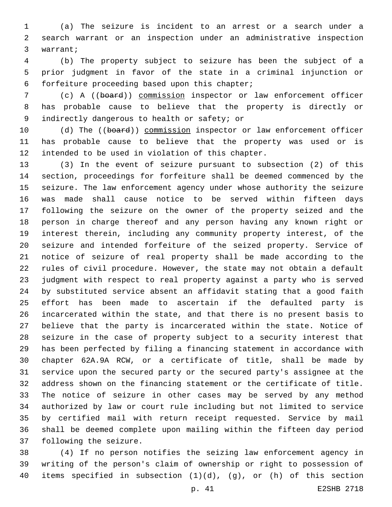(a) The seizure is incident to an arrest or a search under a search warrant or an inspection under an administrative inspection 3 warrant;

 (b) The property subject to seizure has been the subject of a prior judgment in favor of the state in a criminal injunction or forfeiture proceeding based upon this chapter;6

 (c) A ((board)) commission inspector or law enforcement officer has probable cause to believe that the property is directly or 9 indirectly dangerous to health or safety; or

10 (d) The ((board)) commission inspector or law enforcement officer has probable cause to believe that the property was used or is 12 intended to be used in violation of this chapter.

 (3) In the event of seizure pursuant to subsection (2) of this section, proceedings for forfeiture shall be deemed commenced by the seizure. The law enforcement agency under whose authority the seizure was made shall cause notice to be served within fifteen days following the seizure on the owner of the property seized and the person in charge thereof and any person having any known right or interest therein, including any community property interest, of the seizure and intended forfeiture of the seized property. Service of notice of seizure of real property shall be made according to the rules of civil procedure. However, the state may not obtain a default judgment with respect to real property against a party who is served by substituted service absent an affidavit stating that a good faith effort has been made to ascertain if the defaulted party is incarcerated within the state, and that there is no present basis to believe that the party is incarcerated within the state. Notice of seizure in the case of property subject to a security interest that has been perfected by filing a financing statement in accordance with chapter 62A.9A RCW, or a certificate of title, shall be made by service upon the secured party or the secured party's assignee at the address shown on the financing statement or the certificate of title. The notice of seizure in other cases may be served by any method authorized by law or court rule including but not limited to service by certified mail with return receipt requested. Service by mail shall be deemed complete upon mailing within the fifteen day period 37 following the seizure.

 (4) If no person notifies the seizing law enforcement agency in writing of the person's claim of ownership or right to possession of items specified in subsection (1)(d), (g), or (h) of this section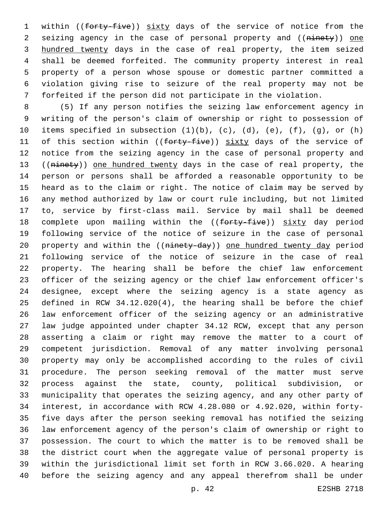1 within ((forty-five)) sixty days of the service of notice from the 2 seizing agency in the case of personal property and ((ninety)) one 3 hundred twenty days in the case of real property, the item seized shall be deemed forfeited. The community property interest in real property of a person whose spouse or domestic partner committed a violation giving rise to seizure of the real property may not be forfeited if the person did not participate in the violation.

 (5) If any person notifies the seizing law enforcement agency in writing of the person's claim of ownership or right to possession of 10 items specified in subsection  $(1)(b)$ ,  $(c)$ ,  $(d)$ ,  $(e)$ ,  $(f)$ ,  $(g)$ , or  $(h)$ 11 of this section within ((forty-five)) sixty days of the service of notice from the seizing agency in the case of personal property and 13 ((ninety)) one hundred twenty days in the case of real property, the person or persons shall be afforded a reasonable opportunity to be heard as to the claim or right. The notice of claim may be served by any method authorized by law or court rule including, but not limited to, service by first-class mail. Service by mail shall be deemed 18 complete upon mailing within the ((forty-five)) sixty day period following service of the notice of seizure in the case of personal 20 property and within the ((ninety-day)) one hundred twenty day period following service of the notice of seizure in the case of real property. The hearing shall be before the chief law enforcement officer of the seizing agency or the chief law enforcement officer's designee, except where the seizing agency is a state agency as defined in RCW 34.12.020(4), the hearing shall be before the chief law enforcement officer of the seizing agency or an administrative law judge appointed under chapter 34.12 RCW, except that any person asserting a claim or right may remove the matter to a court of competent jurisdiction. Removal of any matter involving personal property may only be accomplished according to the rules of civil procedure. The person seeking removal of the matter must serve process against the state, county, political subdivision, or municipality that operates the seizing agency, and any other party of interest, in accordance with RCW 4.28.080 or 4.92.020, within forty- five days after the person seeking removal has notified the seizing law enforcement agency of the person's claim of ownership or right to possession. The court to which the matter is to be removed shall be the district court when the aggregate value of personal property is within the jurisdictional limit set forth in RCW 3.66.020. A hearing before the seizing agency and any appeal therefrom shall be under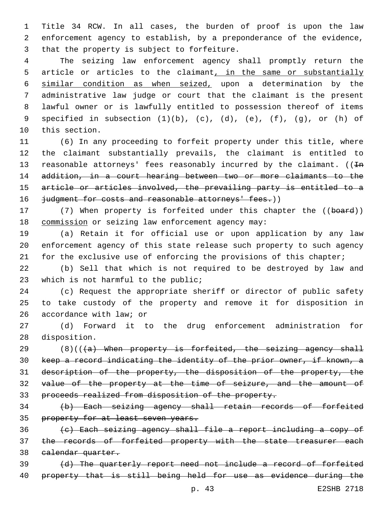Title 34 RCW. In all cases, the burden of proof is upon the law enforcement agency to establish, by a preponderance of the evidence, 3 that the property is subject to forfeiture.

 The seizing law enforcement agency shall promptly return the 5 article or articles to the claimant, in the same or substantially similar condition as when seized, upon a determination by the administrative law judge or court that the claimant is the present lawful owner or is lawfully entitled to possession thereof of items specified in subsection (1)(b), (c), (d), (e), (f), (g), or (h) of 10 this section.

 (6) In any proceeding to forfeit property under this title, where the claimant substantially prevails, the claimant is entitled to 13 reasonable attorneys' fees reasonably incurred by the claimant.  $((\text{In}$  addition, in a court hearing between two or more claimants to the article or articles involved, the prevailing party is entitled to a 16 judgment for costs and reasonable attorneys' fees.))

17 (7) When property is forfeited under this chapter the ((board)) 18 commission or seizing law enforcement agency may:

 (a) Retain it for official use or upon application by any law enforcement agency of this state release such property to such agency for the exclusive use of enforcing the provisions of this chapter;

 (b) Sell that which is not required to be destroyed by law and 23 which is not harmful to the public;

 (c) Request the appropriate sheriff or director of public safety to take custody of the property and remove it for disposition in 26 accordance with law; or

 (d) Forward it to the drug enforcement administration for 28 disposition.

 $(8)((4)$  When property is forfeited, the seizing agency shall keep a record indicating the identity of the prior owner, if known, a 31 description of the property, the disposition of the property, the value of the property at the time of seizure, and the amount of proceeds realized from disposition of the property.

 (b) Each seizing agency shall retain records of forfeited 35 property for at least seven years.

 (c) Each seizing agency shall file a report including a copy of 37 the records of forfeited property with the state treasurer each calendar quarter.

 (d) The quarterly report need not include a record of forfeited property that is still being held for use as evidence during the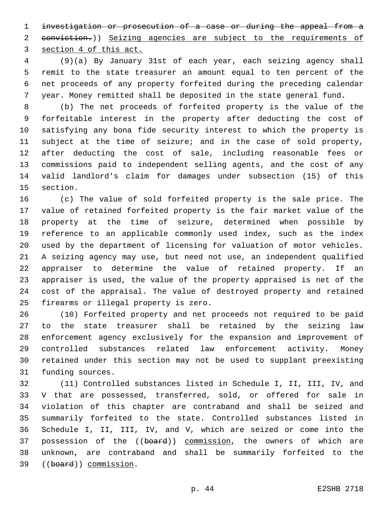investigation or prosecution of a case or during the appeal from a 2 eonviction.)) Seizing agencies are subject to the requirements of section 4 of this act.

 (9)(a) By January 31st of each year, each seizing agency shall remit to the state treasurer an amount equal to ten percent of the net proceeds of any property forfeited during the preceding calendar year. Money remitted shall be deposited in the state general fund.

 (b) The net proceeds of forfeited property is the value of the forfeitable interest in the property after deducting the cost of satisfying any bona fide security interest to which the property is subject at the time of seizure; and in the case of sold property, after deducting the cost of sale, including reasonable fees or commissions paid to independent selling agents, and the cost of any valid landlord's claim for damages under subsection (15) of this 15 section.

 (c) The value of sold forfeited property is the sale price. The value of retained forfeited property is the fair market value of the property at the time of seizure, determined when possible by reference to an applicable commonly used index, such as the index used by the department of licensing for valuation of motor vehicles. A seizing agency may use, but need not use, an independent qualified appraiser to determine the value of retained property. If an appraiser is used, the value of the property appraised is net of the cost of the appraisal. The value of destroyed property and retained 25 firearms or illegal property is zero.

 (10) Forfeited property and net proceeds not required to be paid to the state treasurer shall be retained by the seizing law enforcement agency exclusively for the expansion and improvement of controlled substances related law enforcement activity. Money retained under this section may not be used to supplant preexisting 31 funding sources.

 (11) Controlled substances listed in Schedule I, II, III, IV, and V that are possessed, transferred, sold, or offered for sale in violation of this chapter are contraband and shall be seized and summarily forfeited to the state. Controlled substances listed in Schedule I, II, III, IV, and V, which are seized or come into the 37 possession of the ((board)) commission, the owners of which are unknown, are contraband and shall be summarily forfeited to the 39 ((board)) commission.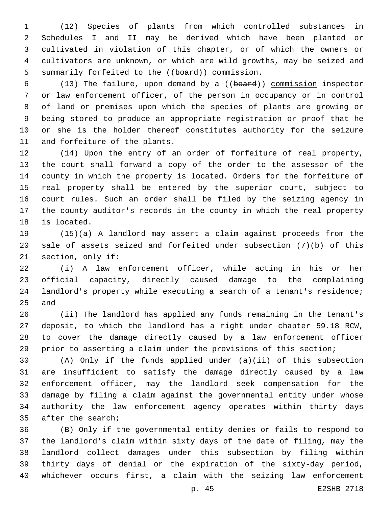(12) Species of plants from which controlled substances in Schedules I and II may be derived which have been planted or cultivated in violation of this chapter, or of which the owners or cultivators are unknown, or which are wild growths, may be seized and 5 summarily forfeited to the ((board)) commission.

 (13) The failure, upon demand by a ((board)) commission inspector or law enforcement officer, of the person in occupancy or in control of land or premises upon which the species of plants are growing or being stored to produce an appropriate registration or proof that he or she is the holder thereof constitutes authority for the seizure 11 and forfeiture of the plants.

 (14) Upon the entry of an order of forfeiture of real property, the court shall forward a copy of the order to the assessor of the county in which the property is located. Orders for the forfeiture of real property shall be entered by the superior court, subject to court rules. Such an order shall be filed by the seizing agency in the county auditor's records in the county in which the real property 18 is located.

 (15)(a) A landlord may assert a claim against proceeds from the sale of assets seized and forfeited under subsection (7)(b) of this 21 section, only if:

 (i) A law enforcement officer, while acting in his or her official capacity, directly caused damage to the complaining landlord's property while executing a search of a tenant's residence; 25 and

 (ii) The landlord has applied any funds remaining in the tenant's deposit, to which the landlord has a right under chapter 59.18 RCW, to cover the damage directly caused by a law enforcement officer prior to asserting a claim under the provisions of this section;

 (A) Only if the funds applied under (a)(ii) of this subsection are insufficient to satisfy the damage directly caused by a law enforcement officer, may the landlord seek compensation for the damage by filing a claim against the governmental entity under whose authority the law enforcement agency operates within thirty days 35 after the search;

 (B) Only if the governmental entity denies or fails to respond to the landlord's claim within sixty days of the date of filing, may the landlord collect damages under this subsection by filing within thirty days of denial or the expiration of the sixty-day period, whichever occurs first, a claim with the seizing law enforcement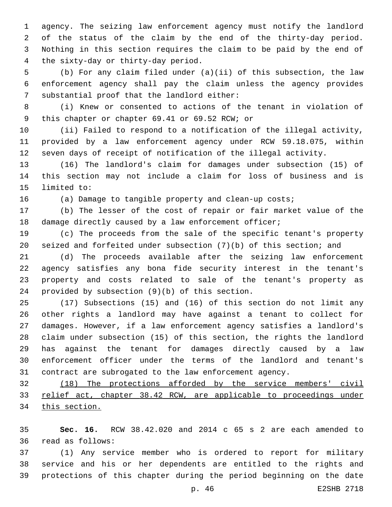agency. The seizing law enforcement agency must notify the landlord of the status of the claim by the end of the thirty-day period. Nothing in this section requires the claim to be paid by the end of 4 the sixty-day or thirty-day period.

 (b) For any claim filed under (a)(ii) of this subsection, the law enforcement agency shall pay the claim unless the agency provides 7 substantial proof that the landlord either:

 (i) Knew or consented to actions of the tenant in violation of 9 this chapter or chapter 69.41 or 69.52 RCW; or

 (ii) Failed to respond to a notification of the illegal activity, provided by a law enforcement agency under RCW 59.18.075, within seven days of receipt of notification of the illegal activity.

 (16) The landlord's claim for damages under subsection (15) of this section may not include a claim for loss of business and is 15 limited to:

(a) Damage to tangible property and clean-up costs;

 (b) The lesser of the cost of repair or fair market value of the damage directly caused by a law enforcement officer;

 (c) The proceeds from the sale of the specific tenant's property seized and forfeited under subsection (7)(b) of this section; and

 (d) The proceeds available after the seizing law enforcement agency satisfies any bona fide security interest in the tenant's property and costs related to sale of the tenant's property as 24 provided by subsection  $(9)(b)$  of this section.

 (17) Subsections (15) and (16) of this section do not limit any other rights a landlord may have against a tenant to collect for damages. However, if a law enforcement agency satisfies a landlord's claim under subsection (15) of this section, the rights the landlord has against the tenant for damages directly caused by a law enforcement officer under the terms of the landlord and tenant's contract are subrogated to the law enforcement agency.

 (18) The protections afforded by the service members' civil 33 relief act, chapter 38.42 RCW, are applicable to proceedings under this section.

 **Sec. 16.** RCW 38.42.020 and 2014 c 65 s 2 are each amended to read as follows:36

 (1) Any service member who is ordered to report for military service and his or her dependents are entitled to the rights and protections of this chapter during the period beginning on the date